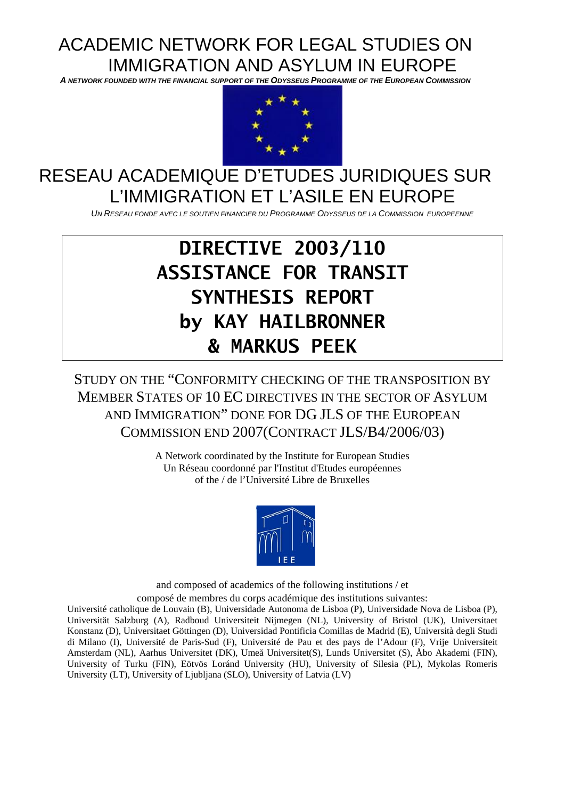# ACADEMIC NETWORK FOR LEGAL STUDIES ON IMMIGRATION AND ASYLUM IN EUROPE

*A NETWORK FOUNDED WITH THE FINANCIAL SUPPORT OF THE ODYSSEUS PROGRAMME OF THE EUROPEAN COMMISSION* 



## RESEAU ACADEMIQUE D'ETUDES JURIDIQUES SUR L'IMMIGRATION ET L'ASILE EN EUROPE

*UN RESEAU FONDE AVEC LE SOUTIEN FINANCIER DU PROGRAMME ODYSSEUS DE LA COMMISSION EUROPEENNE*

# **DIRECTIVE 2003/110 ASSISTANCE FOR TRANSIT SYNTHESIS REPORT by KAY HAILBRONNER & MARKUS PEEK**

STUDY ON THE "CONFORMITY CHECKING OF THE TRANSPOSITION BY MEMBER STATES OF 10 EC DIRECTIVES IN THE SECTOR OF ASYLUM AND IMMIGRATION" DONE FOR DG JLS OF THE EUROPEAN COMMISSION END 2007(CONTRACT JLS/B4/2006/03)

> A Network coordinated by the Institute for European Studies Un Réseau coordonné par l'Institut d'Etudes européennes of the / de l'Université Libre de Bruxelles



and composed of academics of the following institutions / et composé de membres du corps académique des institutions suivantes:

Université catholique de Louvain (B), Universidade Autonoma de Lisboa (P), Universidade Nova de Lisboa (P), Universität Salzburg (A), Radboud Universiteit Nijmegen (NL), University of Bristol (UK), Universitaet Konstanz (D), Universitaet Göttingen (D), Universidad Pontificia Comillas de Madrid (E), Università degli Studi di Milano (I), Université de Paris-Sud (F), Université de Pau et des pays de l'Adour (F), Vrije Universiteit Amsterdam (NL), Aarhus Universitet (DK), Umeå Universitet(S), Lunds Universitet (S), [Åbo Akademi](http://www.abo.fi/aa/) (FIN), University of Turku (FIN), Eötvös Loránd University (HU), [University](http://www.us.edu.pl/) of Silesia (PL), Mykolas Romeris University (LT), University of Ljubljana (SLO), University of Latvia (LV)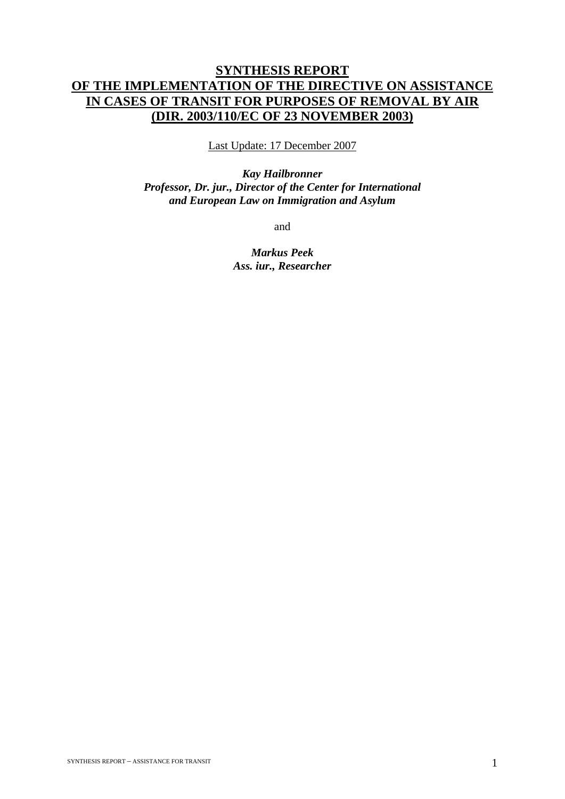## **SYNTHESIS REPORT OF THE IMPLEMENTATION OF THE DIRECTIVE ON ASSISTANCE IN CASES OF TRANSIT FOR PURPOSES OF REMOVAL BY AIR (DIR. 2003/110/EC OF 23 NOVEMBER 2003)**

Last Update: 17 December 2007

*Kay Hailbronner Professor, Dr. jur., Director of the Center for International and European Law on Immigration and Asylum* 

and

*Markus Peek Ass. iur., Researcher*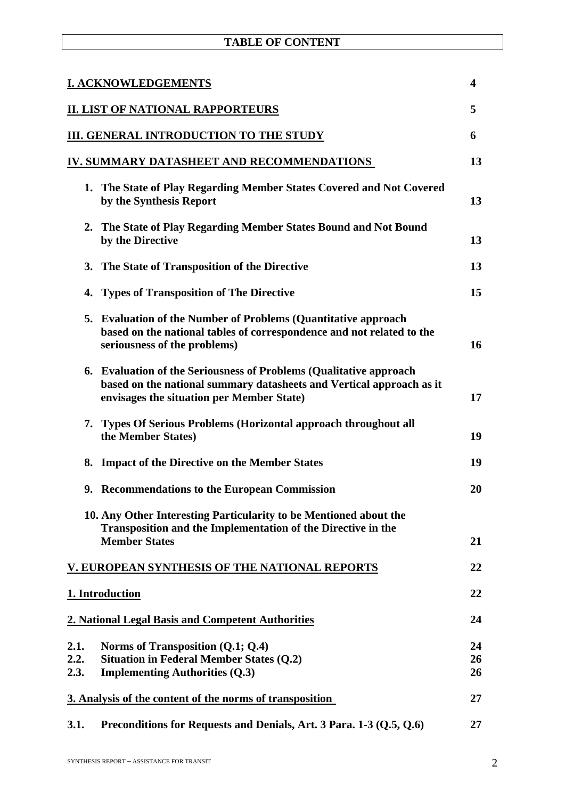| <b>TABLE OF CONTENT</b> |  |
|-------------------------|--|
|-------------------------|--|

| <b>I. ACKNOWLEDGEMENTS</b><br>$\overline{\mathbf{4}}$ |                                                                                                                                                                                             |                |
|-------------------------------------------------------|---------------------------------------------------------------------------------------------------------------------------------------------------------------------------------------------|----------------|
|                                                       | <b>II. LIST OF NATIONAL RAPPORTEURS</b>                                                                                                                                                     | 5              |
|                                                       | III. GENERAL INTRODUCTION TO THE STUDY                                                                                                                                                      | 6              |
|                                                       | IV. SUMMARY DATASHEET AND RECOMMENDATIONS                                                                                                                                                   | 13             |
| 1.                                                    | The State of Play Regarding Member States Covered and Not Covered<br>by the Synthesis Report                                                                                                | 13             |
|                                                       | 2. The State of Play Regarding Member States Bound and Not Bound<br>by the Directive                                                                                                        | 13             |
|                                                       | 3. The State of Transposition of the Directive                                                                                                                                              | 13             |
| 4.                                                    | <b>Types of Transposition of The Directive</b>                                                                                                                                              | 15             |
| 5.                                                    | <b>Evaluation of the Number of Problems (Quantitative approach</b><br>based on the national tables of correspondence and not related to the<br>seriousness of the problems)                 | 16             |
| 6.                                                    | <b>Evaluation of the Seriousness of Problems (Qualitative approach</b><br>based on the national summary datasheets and Vertical approach as it<br>envisages the situation per Member State) | 17             |
|                                                       | 7. Types Of Serious Problems (Horizontal approach throughout all<br>the Member States)                                                                                                      | 19             |
| 8.                                                    | <b>Impact of the Directive on the Member States</b>                                                                                                                                         | 19             |
|                                                       | 9. Recommendations to the European Commission                                                                                                                                               | 20             |
|                                                       | 10. Any Other Interesting Particularity to be Mentioned about the<br>Transposition and the Implementation of the Directive in the<br><b>Member States</b>                                   | 21             |
|                                                       | V. EUROPEAN SYNTHESIS OF THE NATIONAL REPORTS                                                                                                                                               | 22             |
|                                                       | 1. Introduction                                                                                                                                                                             | 22             |
|                                                       | 2. National Legal Basis and Competent Authorities                                                                                                                                           | 24             |
| 2.1.<br>2.2.<br>2.3.                                  | Norms of Transposition $(Q.1; Q.4)$<br><b>Situation in Federal Member States (Q.2)</b><br><b>Implementing Authorities (Q.3)</b>                                                             | 24<br>26<br>26 |
|                                                       | 3. Analysis of the content of the norms of transposition                                                                                                                                    | 27             |
| 3.1.                                                  | Preconditions for Requests and Denials, Art. 3 Para. 1-3 (Q.5, Q.6)                                                                                                                         | 27             |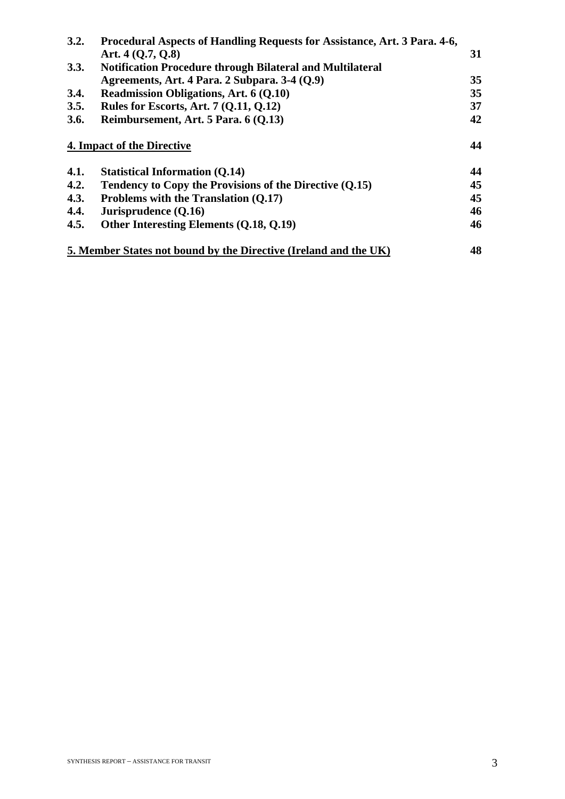| 3.2. | Procedural Aspects of Handling Requests for Assistance, Art. 3 Para. 4-6, |                 |
|------|---------------------------------------------------------------------------|-----------------|
|      | Art. $4(0.7, 0.8)$                                                        | 31              |
| 3.3. | <b>Notification Procedure through Bilateral and Multilateral</b>          |                 |
|      | Agreements, Art. 4 Para. 2 Subpara. 3-4 (Q.9)                             | 35              |
| 3.4. | <b>Readmission Obligations, Art. 6 (Q.10)</b>                             | 35 <sup>5</sup> |
| 3.5. | Rules for Escorts, Art. 7 (Q.11, Q.12)                                    | 37              |
| 3.6. | Reimbursement, Art. 5 Para. 6 (Q.13)                                      | 42              |
| 4.1. | <b>Statistical Information (Q.14)</b>                                     | 44              |
|      |                                                                           |                 |
| 4.2. | Tendency to Copy the Provisions of the Directive (Q.15)                   | 45              |
| 4.3. | Problems with the Translation (Q.17)                                      | 45              |
| 4.4. | Jurisprudence (Q.16)                                                      | 46              |
| 4.5. | Other Interesting Elements (Q.18, Q.19)                                   | 46              |
|      | 5. Member States not bound by the Directive (Ireland and the UK)          | 48              |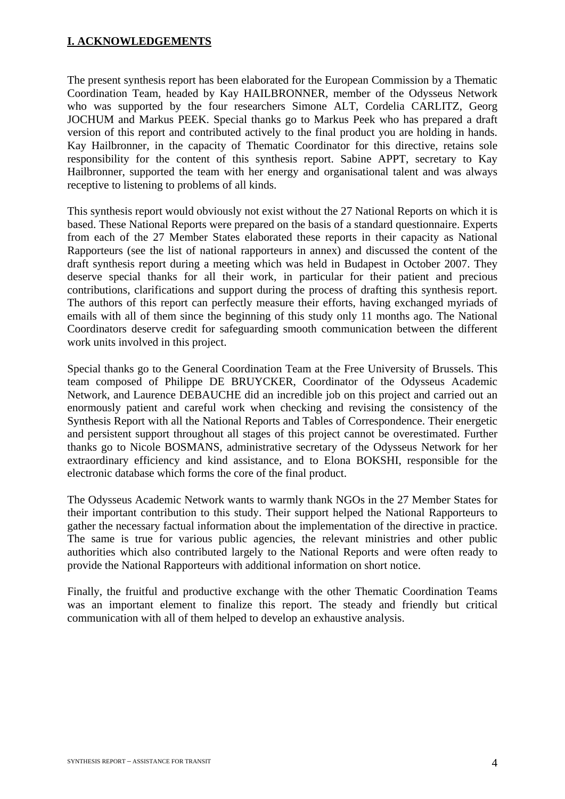## **I. ACKNOWLEDGEMENTS**

The present synthesis report has been elaborated for the European Commission by a Thematic Coordination Team, headed by Kay HAILBRONNER, member of the Odysseus Network who was supported by the four researchers Simone ALT, Cordelia CARLITZ, Georg JOCHUM and Markus PEEK. Special thanks go to Markus Peek who has prepared a draft version of this report and contributed actively to the final product you are holding in hands. Kay Hailbronner, in the capacity of Thematic Coordinator for this directive, retains sole responsibility for the content of this synthesis report. Sabine APPT, secretary to Kay Hailbronner, supported the team with her energy and organisational talent and was always receptive to listening to problems of all kinds.

This synthesis report would obviously not exist without the 27 National Reports on which it is based. These National Reports were prepared on the basis of a standard questionnaire. Experts from each of the 27 Member States elaborated these reports in their capacity as National Rapporteurs (see the list of national rapporteurs in annex) and discussed the content of the draft synthesis report during a meeting which was held in Budapest in October 2007. They deserve special thanks for all their work, in particular for their patient and precious contributions, clarifications and support during the process of drafting this synthesis report. The authors of this report can perfectly measure their efforts, having exchanged myriads of emails with all of them since the beginning of this study only 11 months ago. The National Coordinators deserve credit for safeguarding smooth communication between the different work units involved in this project.

Special thanks go to the General Coordination Team at the Free University of Brussels. This team composed of Philippe DE BRUYCKER, Coordinator of the Odysseus Academic Network, and Laurence DEBAUCHE did an incredible job on this project and carried out an enormously patient and careful work when checking and revising the consistency of the Synthesis Report with all the National Reports and Tables of Correspondence. Their energetic and persistent support throughout all stages of this project cannot be overestimated. Further thanks go to Nicole BOSMANS, administrative secretary of the Odysseus Network for her extraordinary efficiency and kind assistance, and to Elona BOKSHI, responsible for the electronic database which forms the core of the final product.

The Odysseus Academic Network wants to warmly thank NGOs in the 27 Member States for their important contribution to this study. Their support helped the National Rapporteurs to gather the necessary factual information about the implementation of the directive in practice. The same is true for various public agencies, the relevant ministries and other public authorities which also contributed largely to the National Reports and were often ready to provide the National Rapporteurs with additional information on short notice.

Finally, the fruitful and productive exchange with the other Thematic Coordination Teams was an important element to finalize this report. The steady and friendly but critical communication with all of them helped to develop an exhaustive analysis.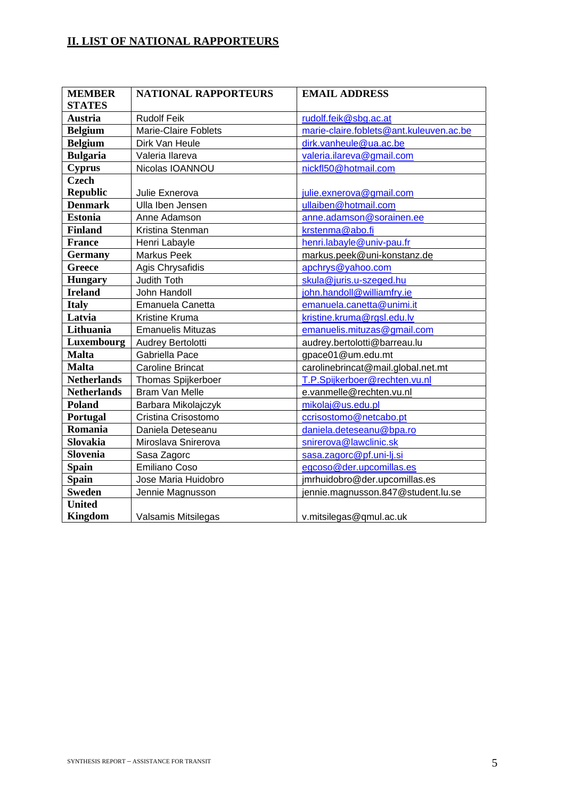## **II. LIST OF NATIONAL RAPPORTEURS**

| <b>MEMBER</b>      | <b>NATIONAL RAPPORTEURS</b> | <b>EMAIL ADDRESS</b>                    |
|--------------------|-----------------------------|-----------------------------------------|
| <b>STATES</b>      |                             |                                         |
| <b>Austria</b>     | <b>Rudolf Feik</b>          | rudolf.feik@sbg.ac.at                   |
| <b>Belgium</b>     | <b>Marie-Claire Foblets</b> | marie-claire.foblets@ant.kuleuven.ac.be |
| <b>Belgium</b>     | Dirk Van Heule              | dirk.vanheule@ua.ac.be                  |
| <b>Bulgaria</b>    | Valeria Ilareva             | valeria.ilareva@gmail.com               |
| <b>Cyprus</b>      | Nicolas IOANNOU             | nickfl50@hotmail.com                    |
| <b>Czech</b>       |                             |                                         |
| <b>Republic</b>    | Julie Exnerova              | julie.exnerova@gmail.com                |
| <b>Denmark</b>     | Ulla Iben Jensen            | ullaiben@hotmail.com                    |
| <b>Estonia</b>     | Anne Adamson                | anne.adamson@sorainen.ee                |
| <b>Finland</b>     | Kristina Stenman            | krstenma@abo.fi                         |
| <b>France</b>      | Henri Labayle               | henri.labayle@univ-pau.fr               |
| <b>Germany</b>     | Markus Peek                 | markus.peek@uni-konstanz.de             |
| <b>Greece</b>      | Agis Chrysafidis            | apchrys@yahoo.com                       |
| <b>Hungary</b>     | Judith Toth                 | skula@juris.u-szeged.hu                 |
| <b>Ireland</b>     | John Handoll                | john.handoll@williamfry.ie              |
| <b>Italy</b>       | Emanuela Canetta            | emanuela.canetta@unimi.it               |
| Latvia             | Kristine Kruma              | kristine.kruma@rgsl.edu.lv              |
| Lithuania          | <b>Emanuelis Mituzas</b>    | emanuelis.mituzas@gmail.com             |
| Luxembourg         | Audrey Bertolotti           | audrey.bertolotti@barreau.lu            |
| <b>Malta</b>       | Gabriella Pace              | gpace01@um.edu.mt                       |
| <b>Malta</b>       | <b>Caroline Brincat</b>     | carolinebrincat@mail.global.net.mt      |
| <b>Netherlands</b> | <b>Thomas Spijkerboer</b>   | T.P.Spijkerboer@rechten.vu.nl           |
| <b>Netherlands</b> | <b>Bram Van Melle</b>       | e.vanmelle@rechten.vu.nl                |
| <b>Poland</b>      | Barbara Mikolajczyk         | mikolaj@us.edu.pl                       |
| Portugal           | Cristina Crisostomo         | ccrisostomo@netcabo.pt                  |
| Romania            | Daniela Deteseanu           | daniela.deteseanu@bpa.ro                |
| <b>Slovakia</b>    | Miroslava Snirerova         | snirerova@lawclinic.sk                  |
| Slovenia           | Sasa Zagorc                 | sasa.zagorc@pf.uni-lj.si                |
| <b>Spain</b>       | <b>Emiliano Coso</b>        | egcoso@der.upcomillas.es                |
| <b>Spain</b>       | Jose Maria Huidobro         | jmrhuidobro@der.upcomillas.es           |
| <b>Sweden</b>      | Jennie Magnusson            | jennie.magnusson.847@student.lu.se      |
| United             |                             |                                         |
| <b>Kingdom</b>     | Valsamis Mitsilegas         | v.mitsilegas@qmul.ac.uk                 |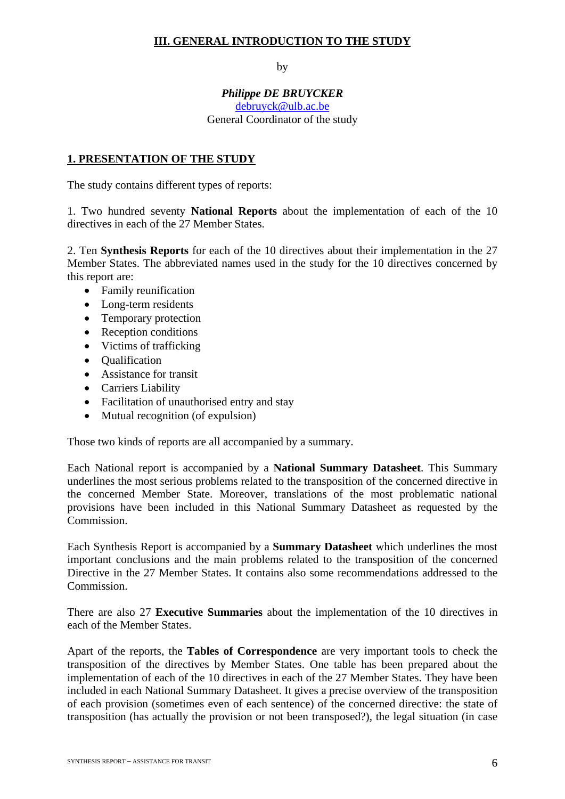## **III. GENERAL INTRODUCTION TO THE STUDY**

by

#### *Philippe DE BRUYCKER*  [debruyck@ulb.ac.be](mailto:debruyck@ulb.ac.be) General Coordinator of the study

## **1. PRESENTATION OF THE STUDY**

The study contains different types of reports:

1. Two hundred seventy **National Reports** about the implementation of each of the 10 directives in each of the 27 Member States.

2. Ten **Synthesis Reports** for each of the 10 directives about their implementation in the 27 Member States. The abbreviated names used in the study for the 10 directives concerned by this report are:

- Family reunification
- Long-term residents
- Temporary protection
- Reception conditions
- Victims of trafficking
- Qualification
- Assistance for transit
- Carriers Liability
- Facilitation of unauthorised entry and stay
- Mutual recognition (of expulsion)

Those two kinds of reports are all accompanied by a summary.

Each National report is accompanied by a **National Summary Datasheet**. This Summary underlines the most serious problems related to the transposition of the concerned directive in the concerned Member State. Moreover, translations of the most problematic national provisions have been included in this National Summary Datasheet as requested by the Commission.

Each Synthesis Report is accompanied by a **Summary Datasheet** which underlines the most important conclusions and the main problems related to the transposition of the concerned Directive in the 27 Member States. It contains also some recommendations addressed to the Commission.

There are also 27 **Executive Summaries** about the implementation of the 10 directives in each of the Member States.

Apart of the reports, the **Tables of Correspondence** are very important tools to check the transposition of the directives by Member States. One table has been prepared about the implementation of each of the 10 directives in each of the 27 Member States. They have been included in each National Summary Datasheet. It gives a precise overview of the transposition of each provision (sometimes even of each sentence) of the concerned directive: the state of transposition (has actually the provision or not been transposed?), the legal situation (in case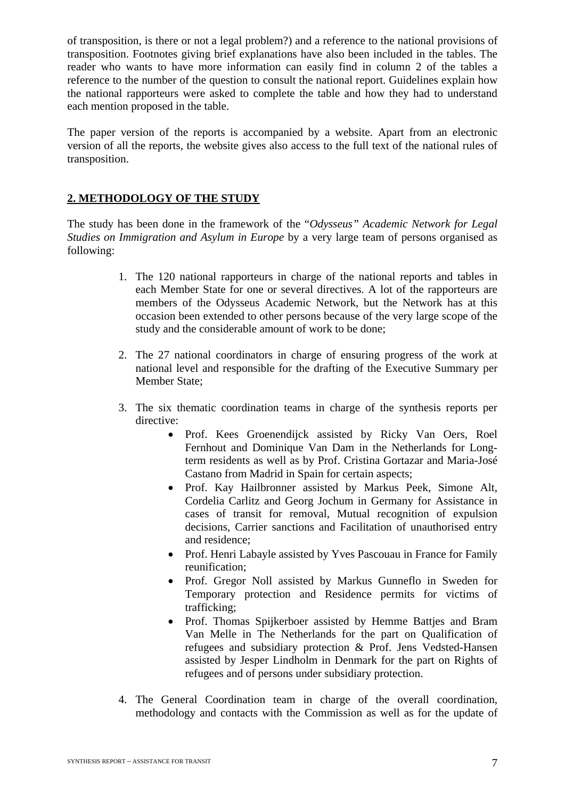of transposition, is there or not a legal problem?) and a reference to the national provisions of transposition. Footnotes giving brief explanations have also been included in the tables. The reader who wants to have more information can easily find in column 2 of the tables a reference to the number of the question to consult the national report. Guidelines explain how the national rapporteurs were asked to complete the table and how they had to understand each mention proposed in the table.

The paper version of the reports is accompanied by a website. Apart from an electronic version of all the reports, the website gives also access to the full text of the national rules of transposition.

#### **2. METHODOLOGY OF THE STUDY**

The study has been done in the framework of the "*Odysseus" Academic Network for Legal Studies on Immigration and Asylum in Europe* by a very large team of persons organised as following:

- 1. The 120 national rapporteurs in charge of the national reports and tables in each Member State for one or several directives. A lot of the rapporteurs are members of the Odysseus Academic Network, but the Network has at this occasion been extended to other persons because of the very large scope of the study and the considerable amount of work to be done;
- 2. The 27 national coordinators in charge of ensuring progress of the work at national level and responsible for the drafting of the Executive Summary per Member State;
- 3. The six thematic coordination teams in charge of the synthesis reports per directive:
	- Prof. Kees Groenendijck assisted by Ricky Van Oers, Roel Fernhout and Dominique Van Dam in the Netherlands for Longterm residents as well as by Prof. Cristina Gortazar and Maria-José Castano from Madrid in Spain for certain aspects;
	- Prof. Kay Hailbronner assisted by Markus Peek, Simone Alt, Cordelia Carlitz and Georg Jochum in Germany for Assistance in cases of transit for removal, Mutual recognition of expulsion decisions, Carrier sanctions and Facilitation of unauthorised entry and residence;
	- Prof. Henri Labayle assisted by Yves Pascouau in France for Family reunification;
	- Prof. Gregor Noll assisted by Markus Gunneflo in Sweden for Temporary protection and Residence permits for victims of trafficking;
	- Prof. Thomas Spijkerboer assisted by Hemme Batties and Bram Van Melle in The Netherlands for the part on Qualification of refugees and subsidiary protection & Prof. Jens Vedsted-Hansen assisted by Jesper Lindholm in Denmark for the part on Rights of refugees and of persons under subsidiary protection.
- 4. The General Coordination team in charge of the overall coordination, methodology and contacts with the Commission as well as for the update of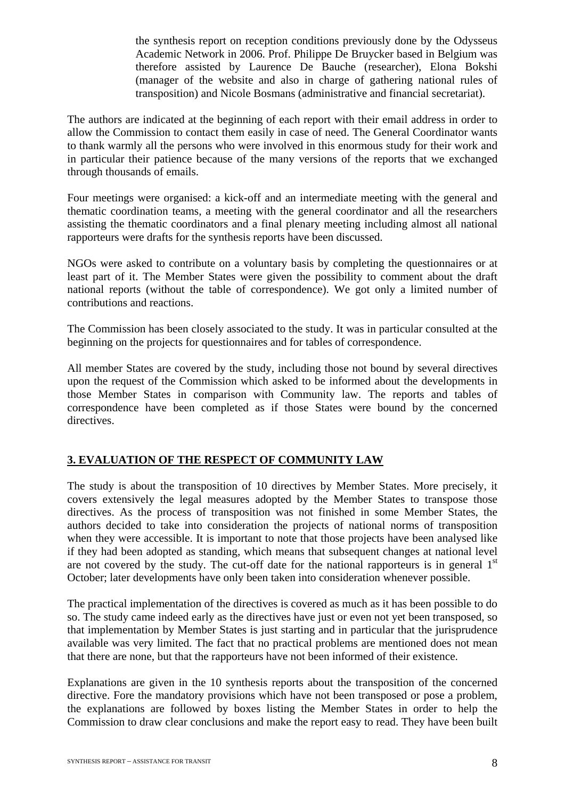the synthesis report on reception conditions previously done by the Odysseus Academic Network in 2006. Prof. Philippe De Bruycker based in Belgium was therefore assisted by Laurence De Bauche (researcher), Elona Bokshi (manager of the website and also in charge of gathering national rules of transposition) and Nicole Bosmans (administrative and financial secretariat).

The authors are indicated at the beginning of each report with their email address in order to allow the Commission to contact them easily in case of need. The General Coordinator wants to thank warmly all the persons who were involved in this enormous study for their work and in particular their patience because of the many versions of the reports that we exchanged through thousands of emails.

Four meetings were organised: a kick-off and an intermediate meeting with the general and thematic coordination teams, a meeting with the general coordinator and all the researchers assisting the thematic coordinators and a final plenary meeting including almost all national rapporteurs were drafts for the synthesis reports have been discussed.

NGOs were asked to contribute on a voluntary basis by completing the questionnaires or at least part of it. The Member States were given the possibility to comment about the draft national reports (without the table of correspondence). We got only a limited number of contributions and reactions.

The Commission has been closely associated to the study. It was in particular consulted at the beginning on the projects for questionnaires and for tables of correspondence.

All member States are covered by the study, including those not bound by several directives upon the request of the Commission which asked to be informed about the developments in those Member States in comparison with Community law. The reports and tables of correspondence have been completed as if those States were bound by the concerned directives.

## **3. EVALUATION OF THE RESPECT OF COMMUNITY LAW**

The study is about the transposition of 10 directives by Member States. More precisely, it covers extensively the legal measures adopted by the Member States to transpose those directives. As the process of transposition was not finished in some Member States, the authors decided to take into consideration the projects of national norms of transposition when they were accessible. It is important to note that those projects have been analysed like if they had been adopted as standing, which means that subsequent changes at national level are not covered by the study. The cut-off date for the national rapporteurs is in general  $1<sup>st</sup>$ October; later developments have only been taken into consideration whenever possible.

The practical implementation of the directives is covered as much as it has been possible to do so. The study came indeed early as the directives have just or even not yet been transposed, so that implementation by Member States is just starting and in particular that the jurisprudence available was very limited. The fact that no practical problems are mentioned does not mean that there are none, but that the rapporteurs have not been informed of their existence.

Explanations are given in the 10 synthesis reports about the transposition of the concerned directive. Fore the mandatory provisions which have not been transposed or pose a problem, the explanations are followed by boxes listing the Member States in order to help the Commission to draw clear conclusions and make the report easy to read. They have been built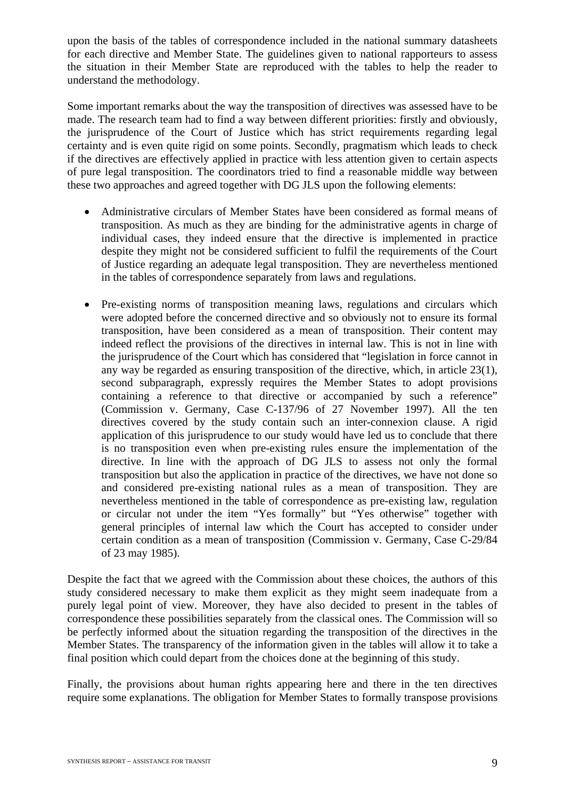upon the basis of the tables of correspondence included in the national summary datasheets for each directive and Member State. The guidelines given to national rapporteurs to assess the situation in their Member State are reproduced with the tables to help the reader to understand the methodology.

Some important remarks about the way the transposition of directives was assessed have to be made. The research team had to find a way between different priorities: firstly and obviously, the jurisprudence of the Court of Justice which has strict requirements regarding legal certainty and is even quite rigid on some points. Secondly, pragmatism which leads to check if the directives are effectively applied in practice with less attention given to certain aspects of pure legal transposition. The coordinators tried to find a reasonable middle way between these two approaches and agreed together with DG JLS upon the following elements:

- Administrative circulars of Member States have been considered as formal means of transposition. As much as they are binding for the administrative agents in charge of individual cases, they indeed ensure that the directive is implemented in practice despite they might not be considered sufficient to fulfil the requirements of the Court of Justice regarding an adequate legal transposition. They are nevertheless mentioned in the tables of correspondence separately from laws and regulations.
- Pre-existing norms of transposition meaning laws, regulations and circulars which were adopted before the concerned directive and so obviously not to ensure its formal transposition, have been considered as a mean of transposition. Their content may indeed reflect the provisions of the directives in internal law. This is not in line with the jurisprudence of the Court which has considered that "legislation in force cannot in any way be regarded as ensuring transposition of the directive, which, in article 23(1), second subparagraph, expressly requires the Member States to adopt provisions containing a reference to that directive or accompanied by such a reference" (Commission v. Germany, Case C-137/96 of 27 November 1997). All the ten directives covered by the study contain such an inter-connexion clause. A rigid application of this jurisprudence to our study would have led us to conclude that there is no transposition even when pre-existing rules ensure the implementation of the directive. In line with the approach of DG JLS to assess not only the formal transposition but also the application in practice of the directives, we have not done so and considered pre-existing national rules as a mean of transposition. They are nevertheless mentioned in the table of correspondence as pre-existing law, regulation or circular not under the item "Yes formally" but "Yes otherwise" together with general principles of internal law which the Court has accepted to consider under certain condition as a mean of transposition (Commission v. Germany, Case C-29/84 of 23 may 1985).

Despite the fact that we agreed with the Commission about these choices, the authors of this study considered necessary to make them explicit as they might seem inadequate from a purely legal point of view. Moreover, they have also decided to present in the tables of correspondence these possibilities separately from the classical ones. The Commission will so be perfectly informed about the situation regarding the transposition of the directives in the Member States. The transparency of the information given in the tables will allow it to take a final position which could depart from the choices done at the beginning of this study.

Finally, the provisions about human rights appearing here and there in the ten directives require some explanations. The obligation for Member States to formally transpose provisions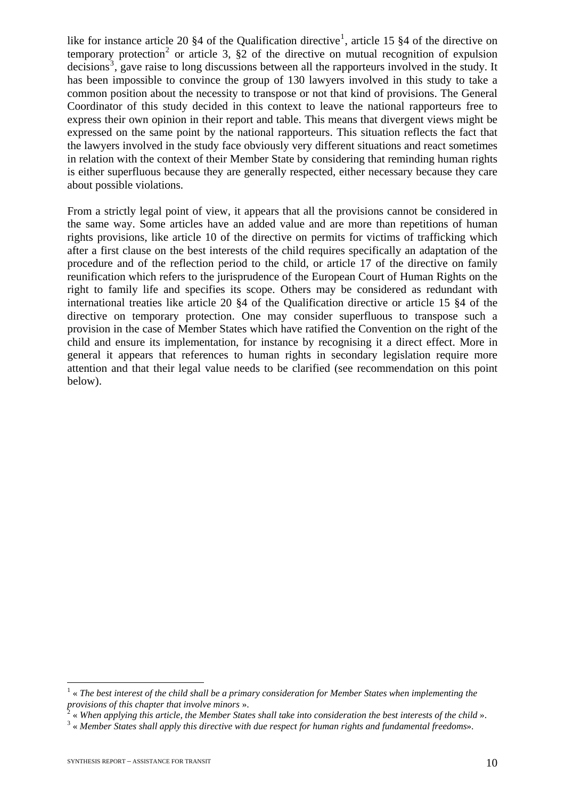like for instance article 20  $\S 4$  of the Qualification directive<sup>[1](#page-10-0)</sup>, article 15  $\S 4$  of the directive on temporary protection<sup>[2](#page-10-1)</sup> or article 3,  $\S$ 2 of the directive on mutual recognition of expulsion  $decisions<sup>3</sup>$  $decisions<sup>3</sup>$  $decisions<sup>3</sup>$ , gave raise to long discussions between all the rapporteurs involved in the study. It has been impossible to convince the group of 130 lawyers involved in this study to take a common position about the necessity to transpose or not that kind of provisions. The General Coordinator of this study decided in this context to leave the national rapporteurs free to express their own opinion in their report and table. This means that divergent views might be expressed on the same point by the national rapporteurs. This situation reflects the fact that the lawyers involved in the study face obviously very different situations and react sometimes in relation with the context of their Member State by considering that reminding human rights is either superfluous because they are generally respected, either necessary because they care about possible violations.

From a strictly legal point of view, it appears that all the provisions cannot be considered in the same way. Some articles have an added value and are more than repetitions of human rights provisions, like article 10 of the directive on permits for victims of trafficking which after a first clause on the best interests of the child requires specifically an adaptation of the procedure and of the reflection period to the child, or article 17 of the directive on family reunification which refers to the jurisprudence of the European Court of Human Rights on the right to family life and specifies its scope. Others may be considered as redundant with international treaties like article 20 §4 of the Qualification directive or article 15 §4 of the directive on temporary protection. One may consider superfluous to transpose such a provision in the case of Member States which have ratified the Convention on the right of the child and ensure its implementation, for instance by recognising it a direct effect. More in general it appears that references to human rights in secondary legislation require more attention and that their legal value needs to be clarified (see recommendation on this point below).

<span id="page-10-0"></span><sup>&</sup>lt;sup>1</sup> « The best interest of the child shall be a primary consideration for Member States when implementing the *provisions of this chapter that involve minors* ». 2

<span id="page-10-1"></span> <sup>«</sup> *When applying this article, the Member States shall take into consideration the best interests of the child* ». 3

<span id="page-10-2"></span> <sup>«</sup> *Member States shall apply this directive with due respect for human rights and fundamental freedoms*».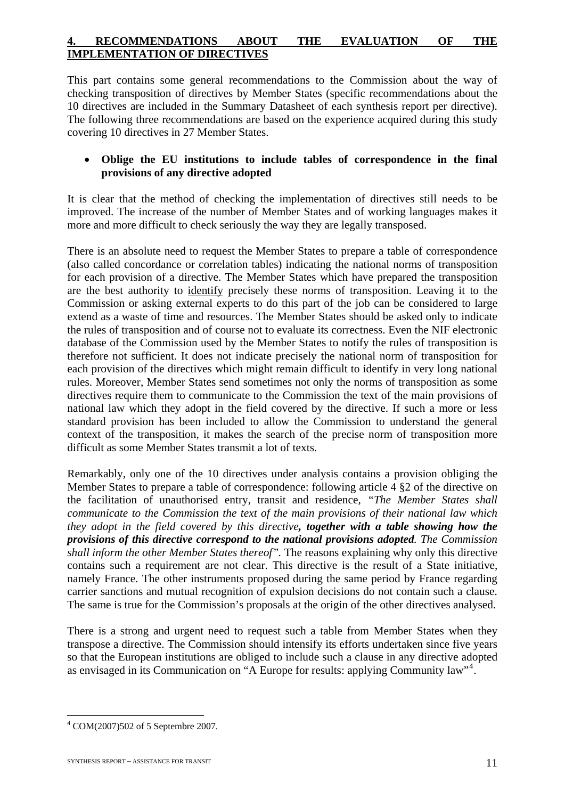## **4. RECOMMENDATIONS ABOUT THE EVALUATION OF THE IMPLEMENTATION OF DIRECTIVES**

This part contains some general recommendations to the Commission about the way of checking transposition of directives by Member States (specific recommendations about the 10 directives are included in the Summary Datasheet of each synthesis report per directive). The following three recommendations are based on the experience acquired during this study covering 10 directives in 27 Member States.

## • **Oblige the EU institutions to include tables of correspondence in the final provisions of any directive adopted**

It is clear that the method of checking the implementation of directives still needs to be improved. The increase of the number of Member States and of working languages makes it more and more difficult to check seriously the way they are legally transposed.

There is an absolute need to request the Member States to prepare a table of correspondence (also called concordance or correlation tables) indicating the national norms of transposition for each provision of a directive. The Member States which have prepared the transposition are the best authority to identify precisely these norms of transposition. Leaving it to the Commission or asking external experts to do this part of the job can be considered to large extend as a waste of time and resources. The Member States should be asked only to indicate the rules of transposition and of course not to evaluate its correctness. Even the NIF electronic database of the Commission used by the Member States to notify the rules of transposition is therefore not sufficient. It does not indicate precisely the national norm of transposition for each provision of the directives which might remain difficult to identify in very long national rules. Moreover, Member States send sometimes not only the norms of transposition as some directives require them to communicate to the Commission the text of the main provisions of national law which they adopt in the field covered by the directive. If such a more or less standard provision has been included to allow the Commission to understand the general context of the transposition, it makes the search of the precise norm of transposition more difficult as some Member States transmit a lot of texts.

Remarkably, only one of the 10 directives under analysis contains a provision obliging the Member States to prepare a table of correspondence: following article 4 §2 of the directive on the facilitation of unauthorised entry, transit and residence, *"The Member States shall communicate to the Commission the text of the main provisions of their national law which they adopt in the field covered by this directive, together with a table showing how the provisions of this directive correspond to the national provisions adopted. The Commission shall inform the other Member States thereof".* The reasons explaining why only this directive contains such a requirement are not clear. This directive is the result of a State initiative, namely France. The other instruments proposed during the same period by France regarding carrier sanctions and mutual recognition of expulsion decisions do not contain such a clause. The same is true for the Commission's proposals at the origin of the other directives analysed.

There is a strong and urgent need to request such a table from Member States when they transpose a directive. The Commission should intensify its efforts undertaken since five years so that the European institutions are obliged to include such a clause in any directive adopted as envisaged in its Communication on "A Europe for results: applying Community law"<sup>[4](#page-11-0)</sup>.

<span id="page-11-0"></span><sup>1</sup> 4 COM(2007)502 of 5 Septembre 2007.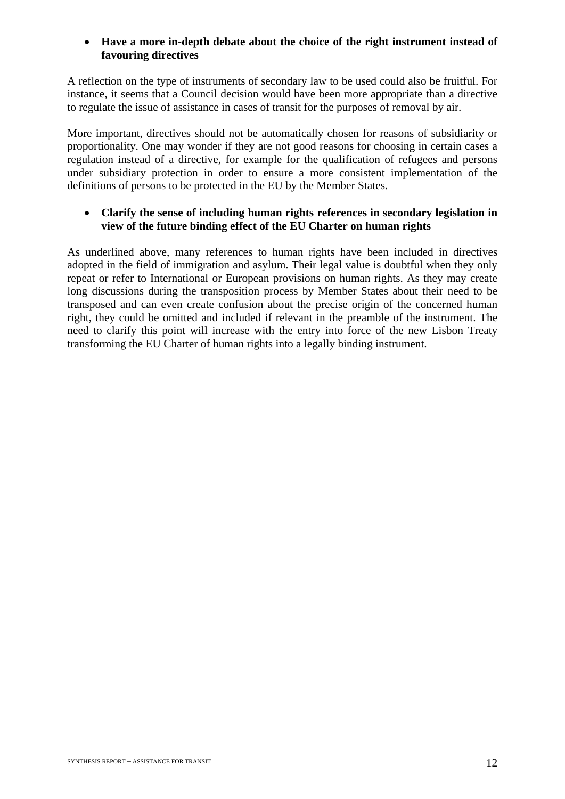## • **Have a more in-depth debate about the choice of the right instrument instead of favouring directives**

A reflection on the type of instruments of secondary law to be used could also be fruitful. For instance, it seems that a Council decision would have been more appropriate than a directive to regulate the issue of assistance in cases of transit for the purposes of removal by air.

More important, directives should not be automatically chosen for reasons of subsidiarity or proportionality. One may wonder if they are not good reasons for choosing in certain cases a regulation instead of a directive, for example for the qualification of refugees and persons under subsidiary protection in order to ensure a more consistent implementation of the definitions of persons to be protected in the EU by the Member States.

## • **Clarify the sense of including human rights references in secondary legislation in view of the future binding effect of the EU Charter on human rights**

As underlined above, many references to human rights have been included in directives adopted in the field of immigration and asylum. Their legal value is doubtful when they only repeat or refer to International or European provisions on human rights. As they may create long discussions during the transposition process by Member States about their need to be transposed and can even create confusion about the precise origin of the concerned human right, they could be omitted and included if relevant in the preamble of the instrument. The need to clarify this point will increase with the entry into force of the new Lisbon Treaty transforming the EU Charter of human rights into a legally binding instrument.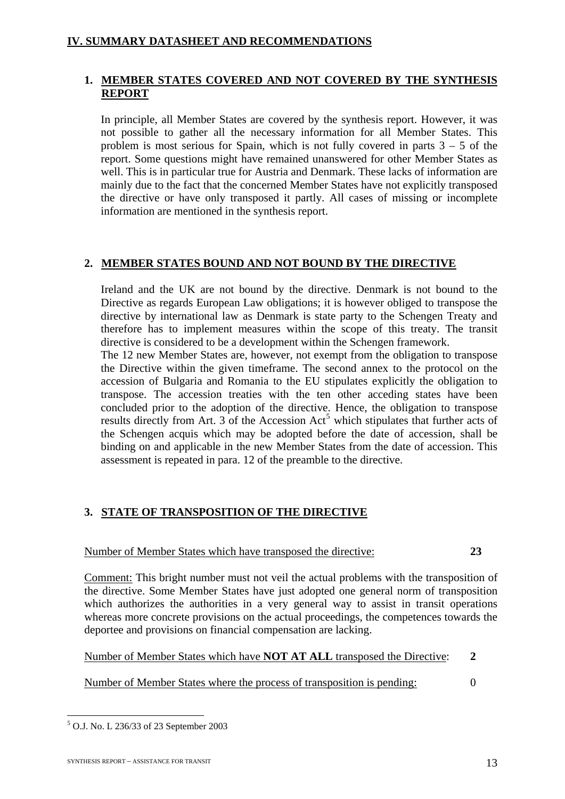## **1. MEMBER STATES COVERED AND NOT COVERED BY THE SYNTHESIS REPORT**

In principle, all Member States are covered by the synthesis report. However, it was not possible to gather all the necessary information for all Member States. This problem is most serious for Spain, which is not fully covered in parts  $3 - 5$  of the report. Some questions might have remained unanswered for other Member States as well. This is in particular true for Austria and Denmark. These lacks of information are mainly due to the fact that the concerned Member States have not explicitly transposed the directive or have only transposed it partly. All cases of missing or incomplete information are mentioned in the synthesis report.

## **2. MEMBER STATES BOUND AND NOT BOUND BY THE DIRECTIVE**

Ireland and the UK are not bound by the directive. Denmark is not bound to the Directive as regards European Law obligations; it is however obliged to transpose the directive by international law as Denmark is state party to the Schengen Treaty and therefore has to implement measures within the scope of this treaty. The transit directive is considered to be a development within the Schengen framework.

The 12 new Member States are, however, not exempt from the obligation to transpose the Directive within the given timeframe. The second annex to the protocol on the accession of Bulgaria and Romania to the EU stipulates explicitly the obligation to transpose. The accession treaties with the ten other acceding states have been concluded prior to the adoption of the directive. Hence, the obligation to transpose results directly from Art. 3 of the Accession  $Act<sup>5</sup>$  $Act<sup>5</sup>$  $Act<sup>5</sup>$  which stipulates that further acts of the Schengen acquis which may be adopted before the date of accession, shall be binding on and applicable in the new Member States from the date of accession. This assessment is repeated in para. 12 of the preamble to the directive.

## **3. STATE OF TRANSPOSITION OF THE DIRECTIVE**

## Number of Member States which have transposed the directive: **23**

Comment: This bright number must not veil the actual problems with the transposition of the directive. Some Member States have just adopted one general norm of transposition which authorizes the authorities in a very general way to assist in transit operations whereas more concrete provisions on the actual proceedings, the competences towards the deportee and provisions on financial compensation are lacking.

Number of Member States which have **NOT AT ALL** transposed the Directive: **2**

Number of Member States where the process of transposition is pending: 0

<span id="page-13-0"></span><sup>1</sup> 5 O.J. No. L 236/33 of 23 September 2003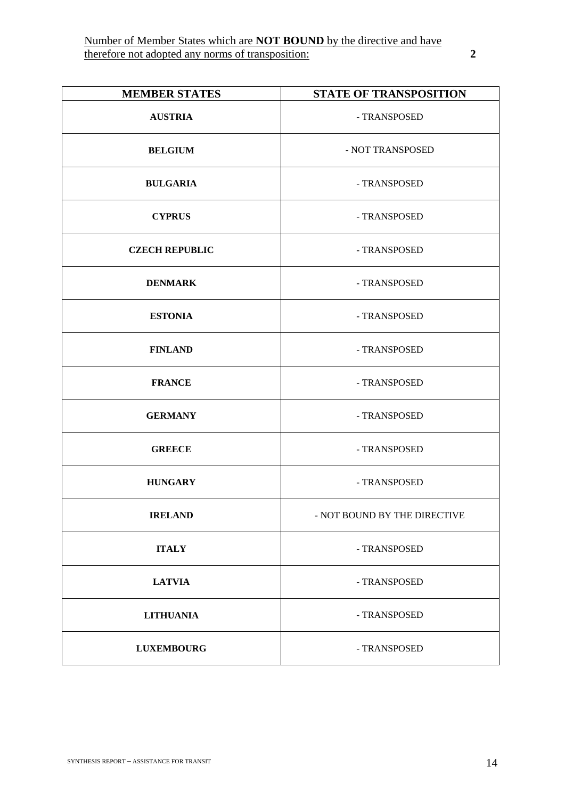| <b>MEMBER STATES</b>  | <b>STATE OF TRANSPOSITION</b> |
|-----------------------|-------------------------------|
| <b>AUSTRIA</b>        | - TRANSPOSED                  |
| <b>BELGIUM</b>        | - NOT TRANSPOSED              |
| <b>BULGARIA</b>       | - TRANSPOSED                  |
| <b>CYPRUS</b>         | - TRANSPOSED                  |
| <b>CZECH REPUBLIC</b> | - TRANSPOSED                  |
| <b>DENMARK</b>        | - TRANSPOSED                  |
| <b>ESTONIA</b>        | - TRANSPOSED                  |
| <b>FINLAND</b>        | - TRANSPOSED                  |
| <b>FRANCE</b>         | - TRANSPOSED                  |
| <b>GERMANY</b>        | - TRANSPOSED                  |
| <b>GREECE</b>         | - TRANSPOSED                  |
| <b>HUNGARY</b>        | - TRANSPOSED                  |
| <b>IRELAND</b>        | - NOT BOUND BY THE DIRECTIVE  |
| <b>ITALY</b>          | - TRANSPOSED                  |
| <b>LATVIA</b>         | - TRANSPOSED                  |
| <b>LITHUANIA</b>      | - TRANSPOSED                  |
| <b>LUXEMBOURG</b>     | - TRANSPOSED                  |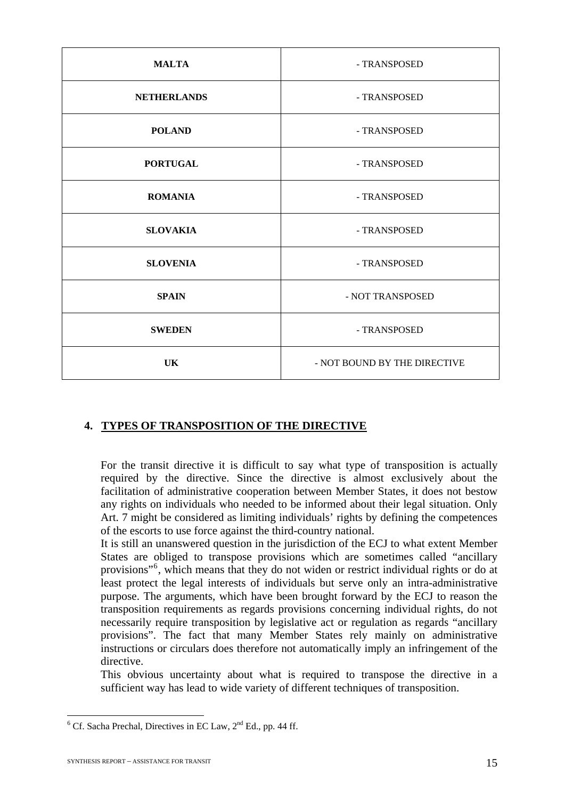| <b>MALTA</b>       | - TRANSPOSED                 |
|--------------------|------------------------------|
| <b>NETHERLANDS</b> | - TRANSPOSED                 |
| <b>POLAND</b>      | - TRANSPOSED                 |
| <b>PORTUGAL</b>    | - TRANSPOSED                 |
| <b>ROMANIA</b>     | - TRANSPOSED                 |
| <b>SLOVAKIA</b>    | - TRANSPOSED                 |
| <b>SLOVENIA</b>    | - TRANSPOSED                 |
| <b>SPAIN</b>       | - NOT TRANSPOSED             |
| <b>SWEDEN</b>      | - TRANSPOSED                 |
| UK                 | - NOT BOUND BY THE DIRECTIVE |

## **4. TYPES OF TRANSPOSITION OF THE DIRECTIVE**

For the transit directive it is difficult to say what type of transposition is actually required by the directive. Since the directive is almost exclusively about the facilitation of administrative cooperation between Member States, it does not bestow any rights on individuals who needed to be informed about their legal situation. Only Art. 7 might be considered as limiting individuals' rights by defining the competences of the escorts to use force against the third-country national.

It is still an unanswered question in the jurisdiction of the ECJ to what extent Member States are obliged to transpose provisions which are sometimes called "ancillary provisions"<sup>[6](#page-15-0)</sup>, which means that they do not widen or restrict individual rights or do at least protect the legal interests of individuals but serve only an intra-administrative purpose. The arguments, which have been brought forward by the ECJ to reason the transposition requirements as regards provisions concerning individual rights, do not necessarily require transposition by legislative act or regulation as regards "ancillary provisions". The fact that many Member States rely mainly on administrative instructions or circulars does therefore not automatically imply an infringement of the directive.

This obvious uncertainty about what is required to transpose the directive in a sufficient way has lead to wide variety of different techniques of transposition.

<span id="page-15-0"></span><sup>&</sup>lt;sup>6</sup> Cf. Sacha Prechal, Directives in EC Law, 2<sup>nd</sup> Ed., pp. 44 ff.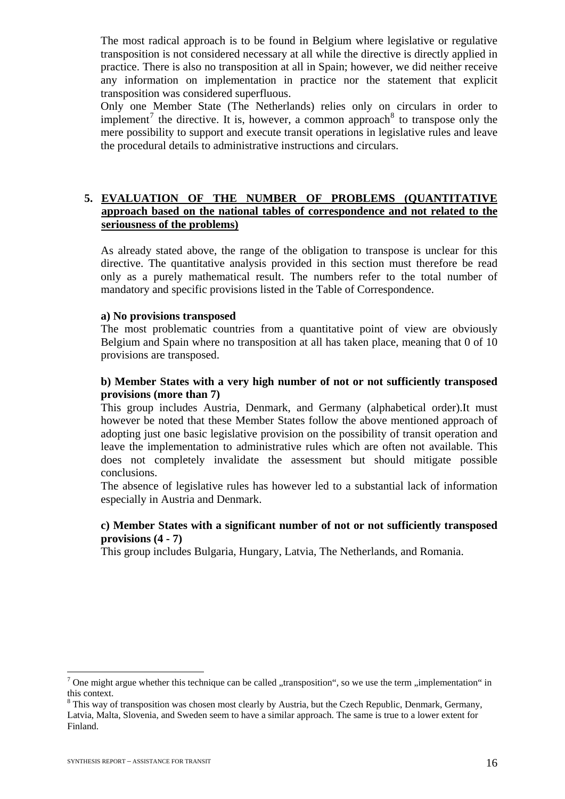The most radical approach is to be found in Belgium where legislative or regulative transposition is not considered necessary at all while the directive is directly applied in practice. There is also no transposition at all in Spain; however, we did neither receive any information on implementation in practice nor the statement that explicit transposition was considered superfluous.

Only one Member State (The Netherlands) relies only on circulars in order to implement<sup>[7](#page-16-0)</sup> the directive. It is, however, a common approach<sup>[8](#page-16-1)</sup> to transpose only the mere possibility to support and execute transit operations in legislative rules and leave the procedural details to administrative instructions and circulars.

#### **5. EVALUATION OF THE NUMBER OF PROBLEMS (QUANTITATIVE approach based on the national tables of correspondence and not related to the seriousness of the problems)**

As already stated above, the range of the obligation to transpose is unclear for this directive. The quantitative analysis provided in this section must therefore be read only as a purely mathematical result. The numbers refer to the total number of mandatory and specific provisions listed in the Table of Correspondence.

#### **a) No provisions transposed**

The most problematic countries from a quantitative point of view are obviously Belgium and Spain where no transposition at all has taken place, meaning that 0 of 10 provisions are transposed.

## **b) Member States with a very high number of not or not sufficiently transposed provisions (more than 7)**

This group includes Austria, Denmark, and Germany (alphabetical order).It must however be noted that these Member States follow the above mentioned approach of adopting just one basic legislative provision on the possibility of transit operation and leave the implementation to administrative rules which are often not available. This does not completely invalidate the assessment but should mitigate possible conclusions.

The absence of legislative rules has however led to a substantial lack of information especially in Austria and Denmark.

#### **c) Member States with a significant number of not or not sufficiently transposed provisions (4 - 7)**

This group includes Bulgaria, Hungary, Latvia, The Netherlands, and Romania.

<u>.</u>

<span id="page-16-0"></span><sup>&</sup>lt;sup>7</sup> One might argue whether this technique can be called "transposition", so we use the term "implementation" in this context.

<span id="page-16-1"></span><sup>&</sup>lt;sup>8</sup> This way of transposition was chosen most clearly by Austria, but the Czech Republic, Denmark, Germany, Latvia, Malta, Slovenia, and Sweden seem to have a similar approach. The same is true to a lower extent for Finland.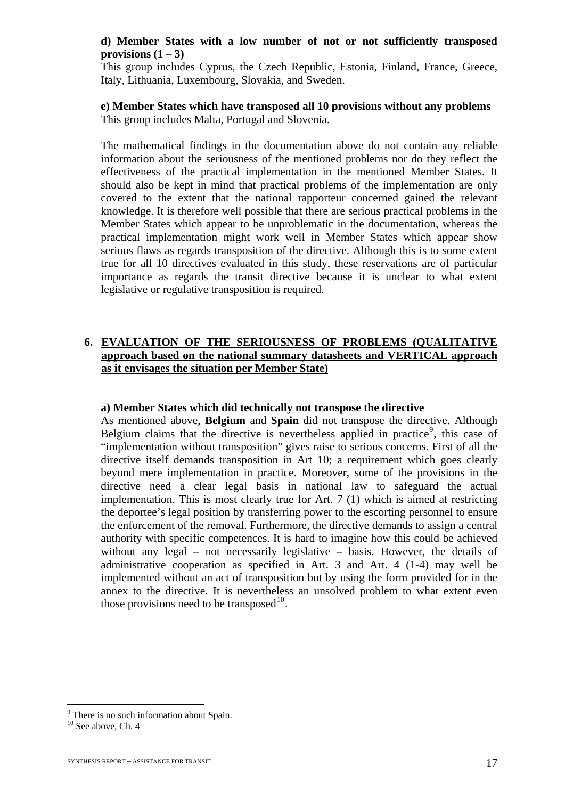## **d) Member States with a low number of not or not sufficiently transposed provisions**  $(1 – 3)$

This group includes Cyprus, the Czech Republic, Estonia, Finland, France, Greece, Italy, Lithuania, Luxembourg, Slovakia, and Sweden.

#### **e) Member States which have transposed all 10 provisions without any problems**  This group includes Malta, Portugal and Slovenia.

The mathematical findings in the documentation above do not contain any reliable information about the seriousness of the mentioned problems nor do they reflect the effectiveness of the practical implementation in the mentioned Member States. It should also be kept in mind that practical problems of the implementation are only covered to the extent that the national rapporteur concerned gained the relevant knowledge. It is therefore well possible that there are serious practical problems in the Member States which appear to be unproblematic in the documentation, whereas the practical implementation might work well in Member States which appear show serious flaws as regards transposition of the directive. Although this is to some extent true for all 10 directives evaluated in this study, these reservations are of particular importance as regards the transit directive because it is unclear to what extent legislative or regulative transposition is required.

## **6. EVALUATION OF THE SERIOUSNESS OF PROBLEMS (QUALITATIVE approach based on the national summary datasheets and VERTICAL approach as it envisages the situation per Member State)**

#### **a) Member States which did technically not transpose the directive**

As mentioned above, **Belgium** and **Spain** did not transpose the directive. Although Belgium claims that the directive is nevertheless applied in practice<sup>[9](#page-17-0)</sup>, this case of "implementation without transposition" gives raise to serious concerns. First of all the directive itself demands transposition in Art 10; a requirement which goes clearly beyond mere implementation in practice. Moreover, some of the provisions in the directive need a clear legal basis in national law to safeguard the actual implementation. This is most clearly true for Art. 7 (1) which is aimed at restricting the deportee's legal position by transferring power to the escorting personnel to ensure the enforcement of the removal. Furthermore, the directive demands to assign a central authority with specific competences. It is hard to imagine how this could be achieved without any legal – not necessarily legislative – basis. However, the details of administrative cooperation as specified in Art. 3 and Art. 4 (1-4) may well be implemented without an act of transposition but by using the form provided for in the annex to the directive. It is nevertheless an unsolved problem to what extent even those provisions need to be transposed $10$ .

<u>.</u>

<sup>&</sup>lt;sup>9</sup> There is no such information about Spain.

<span id="page-17-1"></span><span id="page-17-0"></span> $10$  See above, Ch. 4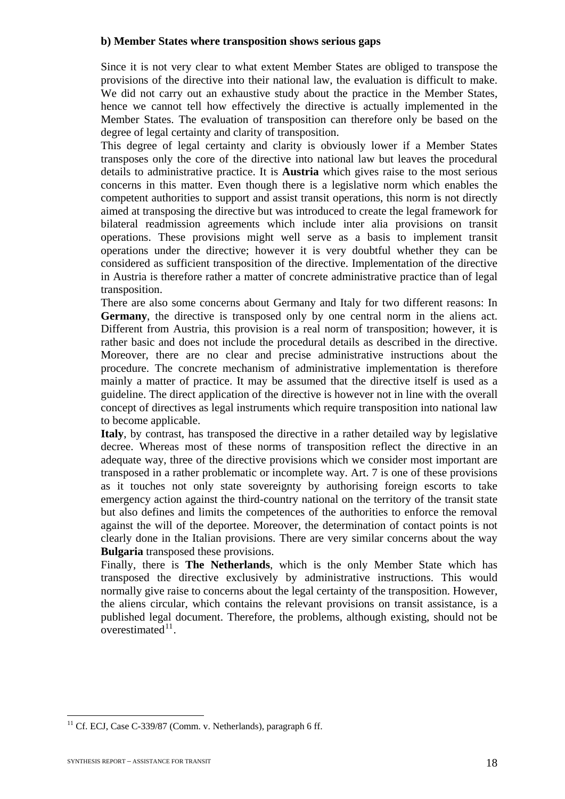#### **b) Member States where transposition shows serious gaps**

Since it is not very clear to what extent Member States are obliged to transpose the provisions of the directive into their national law, the evaluation is difficult to make. We did not carry out an exhaustive study about the practice in the Member States, hence we cannot tell how effectively the directive is actually implemented in the Member States. The evaluation of transposition can therefore only be based on the degree of legal certainty and clarity of transposition.

This degree of legal certainty and clarity is obviously lower if a Member States transposes only the core of the directive into national law but leaves the procedural details to administrative practice. It is **Austria** which gives raise to the most serious concerns in this matter. Even though there is a legislative norm which enables the competent authorities to support and assist transit operations, this norm is not directly aimed at transposing the directive but was introduced to create the legal framework for bilateral readmission agreements which include inter alia provisions on transit operations. These provisions might well serve as a basis to implement transit operations under the directive; however it is very doubtful whether they can be considered as sufficient transposition of the directive. Implementation of the directive in Austria is therefore rather a matter of concrete administrative practice than of legal transposition.

There are also some concerns about Germany and Italy for two different reasons: In **Germany**, the directive is transposed only by one central norm in the aliens act. Different from Austria, this provision is a real norm of transposition; however, it is rather basic and does not include the procedural details as described in the directive. Moreover, there are no clear and precise administrative instructions about the procedure. The concrete mechanism of administrative implementation is therefore mainly a matter of practice. It may be assumed that the directive itself is used as a guideline. The direct application of the directive is however not in line with the overall concept of directives as legal instruments which require transposition into national law to become applicable.

**Italy**, by contrast, has transposed the directive in a rather detailed way by legislative decree. Whereas most of these norms of transposition reflect the directive in an adequate way, three of the directive provisions which we consider most important are transposed in a rather problematic or incomplete way. Art. 7 is one of these provisions as it touches not only state sovereignty by authorising foreign escorts to take emergency action against the third-country national on the territory of the transit state but also defines and limits the competences of the authorities to enforce the removal against the will of the deportee. Moreover, the determination of contact points is not clearly done in the Italian provisions. There are very similar concerns about the way **Bulgaria** transposed these provisions.

Finally, there is **The Netherlands**, which is the only Member State which has transposed the directive exclusively by administrative instructions. This would normally give raise to concerns about the legal certainty of the transposition. However, the aliens circular, which contains the relevant provisions on transit assistance, is a published legal document. Therefore, the problems, although existing, should not be overestimated $11$ .

<span id="page-18-0"></span> $11$  Cf. ECJ, Case C-339/87 (Comm. v. Netherlands), paragraph 6 ff.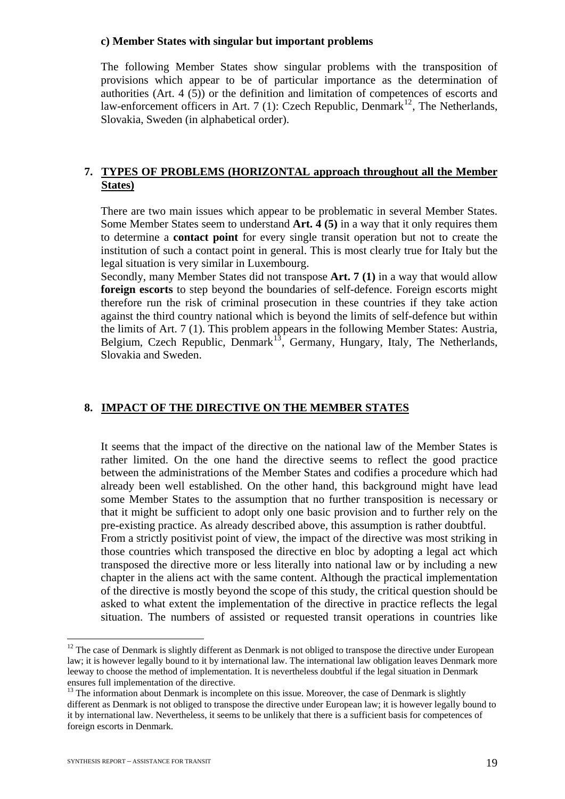#### **c) Member States with singular but important problems**

The following Member States show singular problems with the transposition of provisions which appear to be of particular importance as the determination of authorities (Art. 4 (5)) or the definition and limitation of competences of escorts and law-enforcement officers in Art. 7 (1): Czech Republic, Denmark<sup>[12](#page-19-0)</sup>, The Netherlands, Slovakia, Sweden (in alphabetical order).

#### **7. TYPES OF PROBLEMS (HORIZONTAL approach throughout all the Member States)**

There are two main issues which appear to be problematic in several Member States. Some Member States seem to understand **Art. 4 (5)** in a way that it only requires them to determine a **contact point** for every single transit operation but not to create the institution of such a contact point in general. This is most clearly true for Italy but the legal situation is very similar in Luxembourg.

Secondly, many Member States did not transpose **Art. 7 (1)** in a way that would allow **foreign escorts** to step beyond the boundaries of self-defence. Foreign escorts might therefore run the risk of criminal prosecution in these countries if they take action against the third country national which is beyond the limits of self-defence but within the limits of Art. 7 (1). This problem appears in the following Member States: Austria, Belgium, Czech Republic, Denmark<sup>[13](#page-19-1)</sup>, Germany, Hungary, Italy, The Netherlands, Slovakia and Sweden.

#### **8. IMPACT OF THE DIRECTIVE ON THE MEMBER STATES**

It seems that the impact of the directive on the national law of the Member States is rather limited. On the one hand the directive seems to reflect the good practice between the administrations of the Member States and codifies a procedure which had already been well established. On the other hand, this background might have lead some Member States to the assumption that no further transposition is necessary or that it might be sufficient to adopt only one basic provision and to further rely on the pre-existing practice. As already described above, this assumption is rather doubtful. From a strictly positivist point of view, the impact of the directive was most striking in those countries which transposed the directive en bloc by adopting a legal act which transposed the directive more or less literally into national law or by including a new chapter in the aliens act with the same content. Although the practical implementation of the directive is mostly beyond the scope of this study, the critical question should be asked to what extent the implementation of the directive in practice reflects the legal situation. The numbers of assisted or requested transit operations in countries like

<u>.</u>

<span id="page-19-0"></span> $12$  The case of Denmark is slightly different as Denmark is not obliged to transpose the directive under European law; it is however legally bound to it by international law. The international law obligation leaves Denmark more leeway to choose the method of implementation. It is nevertheless doubtful if the legal situation in Denmark ensures full implementation of the directive.

<span id="page-19-1"></span><sup>&</sup>lt;sup>13</sup> The information about Denmark is incomplete on this issue. Moreover, the case of Denmark is slightly different as Denmark is not obliged to transpose the directive under European law; it is however legally bound to it by international law. Nevertheless, it seems to be unlikely that there is a sufficient basis for competences of foreign escorts in Denmark.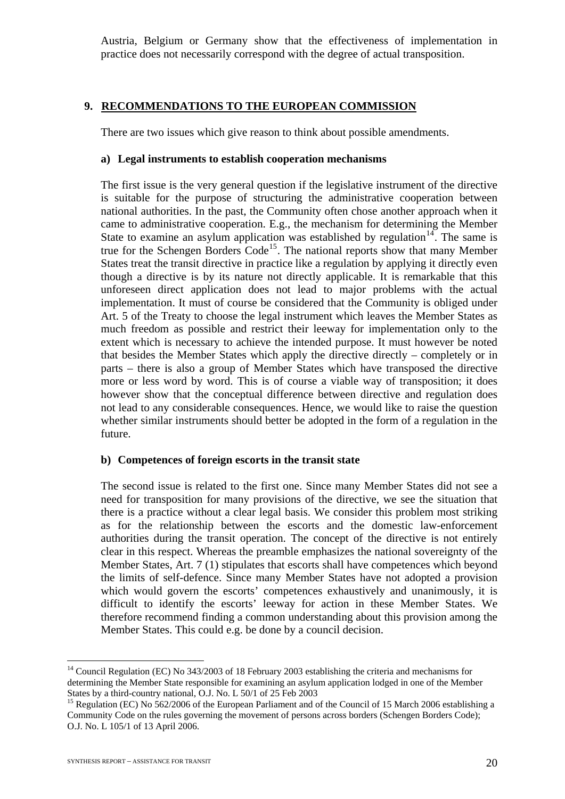Austria, Belgium or Germany show that the effectiveness of implementation in practice does not necessarily correspond with the degree of actual transposition.

#### **9. RECOMMENDATIONS TO THE EUROPEAN COMMISSION**

There are two issues which give reason to think about possible amendments.

#### **a) Legal instruments to establish cooperation mechanisms**

The first issue is the very general question if the legislative instrument of the directive is suitable for the purpose of structuring the administrative cooperation between national authorities. In the past, the Community often chose another approach when it came to administrative cooperation. E.g., the mechanism for determining the Member State to examine an asylum application was established by regulation<sup>[14](#page-20-0)</sup>. The same is true for the Schengen Borders  $\text{Code}^{15}$  $\text{Code}^{15}$  $\text{Code}^{15}$ . The national reports show that many Member States treat the transit directive in practice like a regulation by applying it directly even though a directive is by its nature not directly applicable. It is remarkable that this unforeseen direct application does not lead to major problems with the actual implementation. It must of course be considered that the Community is obliged under Art. 5 of the Treaty to choose the legal instrument which leaves the Member States as much freedom as possible and restrict their leeway for implementation only to the extent which is necessary to achieve the intended purpose. It must however be noted that besides the Member States which apply the directive directly – completely or in parts – there is also a group of Member States which have transposed the directive more or less word by word. This is of course a viable way of transposition; it does however show that the conceptual difference between directive and regulation does not lead to any considerable consequences. Hence, we would like to raise the question whether similar instruments should better be adopted in the form of a regulation in the future.

#### **b) Competences of foreign escorts in the transit state**

The second issue is related to the first one. Since many Member States did not see a need for transposition for many provisions of the directive, we see the situation that there is a practice without a clear legal basis. We consider this problem most striking as for the relationship between the escorts and the domestic law-enforcement authorities during the transit operation. The concept of the directive is not entirely clear in this respect. Whereas the preamble emphasizes the national sovereignty of the Member States, Art. 7 (1) stipulates that escorts shall have competences which beyond the limits of self-defence. Since many Member States have not adopted a provision which would govern the escorts' competences exhaustively and unanimously, it is difficult to identify the escorts' leeway for action in these Member States. We therefore recommend finding a common understanding about this provision among the Member States. This could e.g. be done by a council decision.

<span id="page-20-0"></span><sup>&</sup>lt;sup>14</sup> Council Regulation (EC) No 343/2003 of 18 February 2003 establishing the criteria and mechanisms for determining the Member State responsible for examining an asylum application lodged in one of the Member States by a third-country national, O.J. No. L 50/1 of 25 Feb 2003

<span id="page-20-1"></span><sup>&</sup>lt;sup>15</sup> Regulation (EC) No 562/2006 of the European Parliament and of the Council of 15 March 2006 establishing a Community Code on the rules governing the movement of persons across borders (Schengen Borders Code); O.J. No. L 105/1 of 13 April 2006.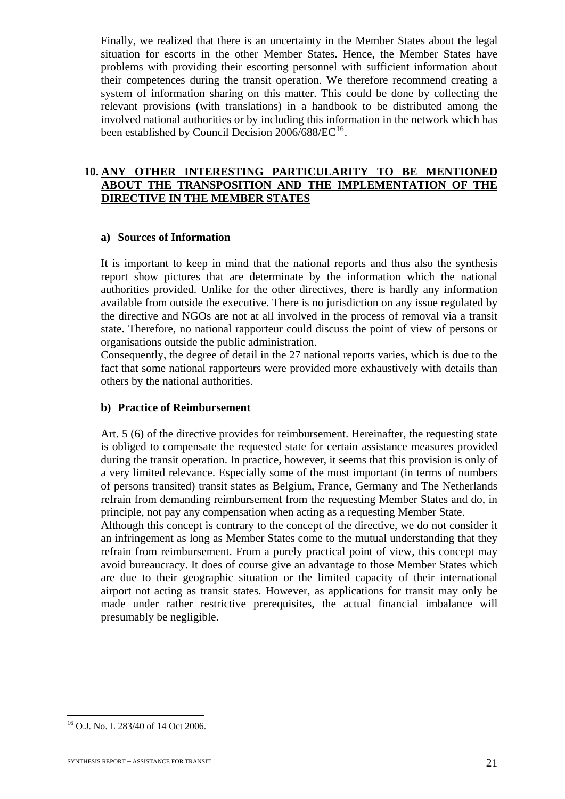Finally, we realized that there is an uncertainty in the Member States about the legal situation for escorts in the other Member States. Hence, the Member States have problems with providing their escorting personnel with sufficient information about their competences during the transit operation. We therefore recommend creating a system of information sharing on this matter. This could be done by collecting the relevant provisions (with translations) in a handbook to be distributed among the involved national authorities or by including this information in the network which has been established by Council Decision  $2006/688/EC^{16}$  $2006/688/EC^{16}$  $2006/688/EC^{16}$ .

#### **10. ANY OTHER INTERESTING PARTICULARITY TO BE MENTIONED ABOUT THE TRANSPOSITION AND THE IMPLEMENTATION OF THE DIRECTIVE IN THE MEMBER STATES**

#### **a) Sources of Information**

It is important to keep in mind that the national reports and thus also the synthesis report show pictures that are determinate by the information which the national authorities provided. Unlike for the other directives, there is hardly any information available from outside the executive. There is no jurisdiction on any issue regulated by the directive and NGOs are not at all involved in the process of removal via a transit state. Therefore, no national rapporteur could discuss the point of view of persons or organisations outside the public administration.

Consequently, the degree of detail in the 27 national reports varies, which is due to the fact that some national rapporteurs were provided more exhaustively with details than others by the national authorities.

## **b) Practice of Reimbursement**

Art. 5 (6) of the directive provides for reimbursement. Hereinafter, the requesting state is obliged to compensate the requested state for certain assistance measures provided during the transit operation. In practice, however, it seems that this provision is only of a very limited relevance. Especially some of the most important (in terms of numbers of persons transited) transit states as Belgium, France, Germany and The Netherlands refrain from demanding reimbursement from the requesting Member States and do, in principle, not pay any compensation when acting as a requesting Member State.

Although this concept is contrary to the concept of the directive, we do not consider it an infringement as long as Member States come to the mutual understanding that they refrain from reimbursement. From a purely practical point of view, this concept may avoid bureaucracy. It does of course give an advantage to those Member States which are due to their geographic situation or the limited capacity of their international airport not acting as transit states. However, as applications for transit may only be made under rather restrictive prerequisites, the actual financial imbalance will presumably be negligible.

<span id="page-21-0"></span><sup>16</sup> O.J. No. L 283/40 of 14 Oct 2006.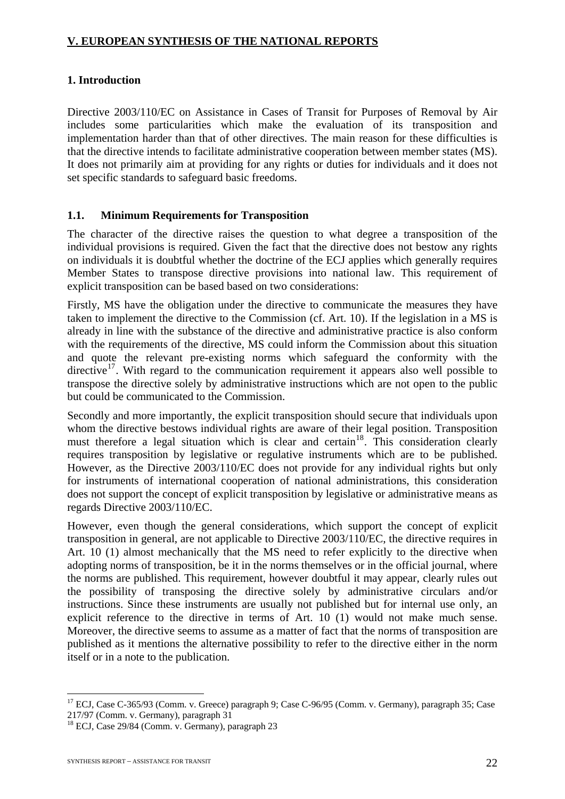## **V. EUROPEAN SYNTHESIS OF THE NATIONAL REPORTS**

## **1. Introduction**

Directive 2003/110/EC on Assistance in Cases of Transit for Purposes of Removal by Air includes some particularities which make the evaluation of its transposition and implementation harder than that of other directives. The main reason for these difficulties is that the directive intends to facilitate administrative cooperation between member states (MS). It does not primarily aim at providing for any rights or duties for individuals and it does not set specific standards to safeguard basic freedoms.

## **1.1. Minimum Requirements for Transposition**

The character of the directive raises the question to what degree a transposition of the individual provisions is required. Given the fact that the directive does not bestow any rights on individuals it is doubtful whether the doctrine of the ECJ applies which generally requires Member States to transpose directive provisions into national law. This requirement of explicit transposition can be based based on two considerations:

Firstly, MS have the obligation under the directive to communicate the measures they have taken to implement the directive to the Commission (cf. Art. 10). If the legislation in a MS is already in line with the substance of the directive and administrative practice is also conform with the requirements of the directive, MS could inform the Commission about this situation and quote the relevant pre-existing norms which safeguard the conformity with the directive<sup>[17](#page-22-0)</sup>. With regard to the communication requirement it appears also well possible to transpose the directive solely by administrative instructions which are not open to the public but could be communicated to the Commission.

Secondly and more importantly, the explicit transposition should secure that individuals upon whom the directive bestows individual rights are aware of their legal position. Transposition must therefore a legal situation which is clear and certain<sup>[18](#page-22-1)</sup>. This consideration clearly requires transposition by legislative or regulative instruments which are to be published. However, as the Directive 2003/110/EC does not provide for any individual rights but only for instruments of international cooperation of national administrations, this consideration does not support the concept of explicit transposition by legislative or administrative means as regards Directive 2003/110/EC.

However, even though the general considerations, which support the concept of explicit transposition in general, are not applicable to Directive 2003/110/EC, the directive requires in Art. 10 (1) almost mechanically that the MS need to refer explicitly to the directive when adopting norms of transposition, be it in the norms themselves or in the official journal, where the norms are published. This requirement, however doubtful it may appear, clearly rules out the possibility of transposing the directive solely by administrative circulars and/or instructions. Since these instruments are usually not published but for internal use only, an explicit reference to the directive in terms of Art. 10 (1) would not make much sense. Moreover, the directive seems to assume as a matter of fact that the norms of transposition are published as it mentions the alternative possibility to refer to the directive either in the norm itself or in a note to the publication.

<span id="page-22-0"></span><sup>&</sup>lt;sup>17</sup> ECJ, Case C-365/93 (Comm. v. Greece) paragraph 9; Case C-96/95 (Comm. v. Germany), paragraph 35; Case 217/97 (Comm. v. Germany), paragraph 31

<span id="page-22-1"></span><sup>18</sup> ECJ, Case 29/84 (Comm. v. Germany), paragraph 23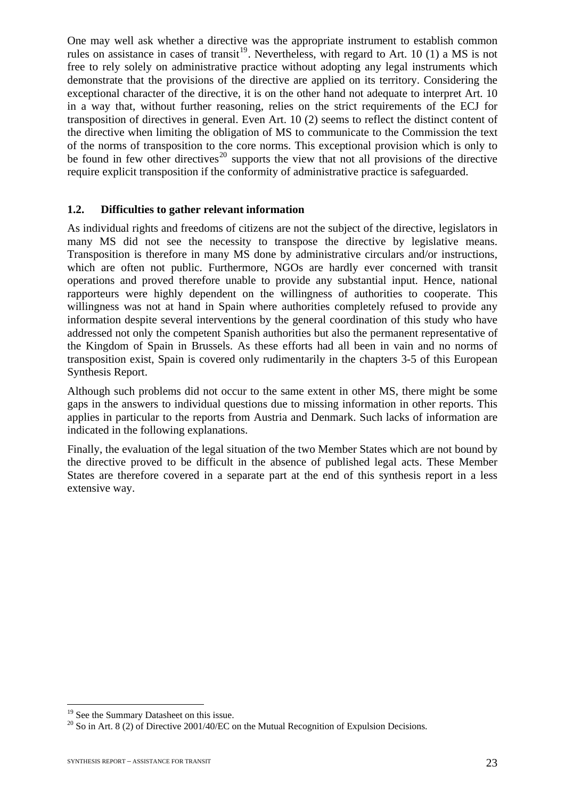One may well ask whether a directive was the appropriate instrument to establish common rules on assistance in cases of transit<sup>[19](#page-23-0)</sup>. Nevertheless, with regard to Art. 10 (1) a MS is not free to rely solely on administrative practice without adopting any legal instruments which demonstrate that the provisions of the directive are applied on its territory. Considering the exceptional character of the directive, it is on the other hand not adequate to interpret Art. 10 in a way that, without further reasoning, relies on the strict requirements of the ECJ for transposition of directives in general. Even Art. 10 (2) seems to reflect the distinct content of the directive when limiting the obligation of MS to communicate to the Commission the text of the norms of transposition to the core norms. This exceptional provision which is only to be found in few other directives<sup>[20](#page-23-1)</sup> supports the view that not all provisions of the directive require explicit transposition if the conformity of administrative practice is safeguarded.

#### **1.2. Difficulties to gather relevant information**

As individual rights and freedoms of citizens are not the subject of the directive, legislators in many MS did not see the necessity to transpose the directive by legislative means. Transposition is therefore in many MS done by administrative circulars and/or instructions, which are often not public. Furthermore, NGOs are hardly ever concerned with transit operations and proved therefore unable to provide any substantial input. Hence, national rapporteurs were highly dependent on the willingness of authorities to cooperate. This willingness was not at hand in Spain where authorities completely refused to provide any information despite several interventions by the general coordination of this study who have addressed not only the competent Spanish authorities but also the permanent representative of the Kingdom of Spain in Brussels. As these efforts had all been in vain and no norms of transposition exist, Spain is covered only rudimentarily in the chapters 3-5 of this European Synthesis Report.

Although such problems did not occur to the same extent in other MS, there might be some gaps in the answers to individual questions due to missing information in other reports. This applies in particular to the reports from Austria and Denmark. Such lacks of information are indicated in the following explanations.

Finally, the evaluation of the legal situation of the two Member States which are not bound by the directive proved to be difficult in the absence of published legal acts. These Member States are therefore covered in a separate part at the end of this synthesis report in a less extensive way.

<u>.</u>

<span id="page-23-0"></span><sup>&</sup>lt;sup>19</sup> See the Summary Datasheet on this issue.

<span id="page-23-1"></span> $20$  So in Art. 8 (2) of Directive 2001/40/EC on the Mutual Recognition of Expulsion Decisions.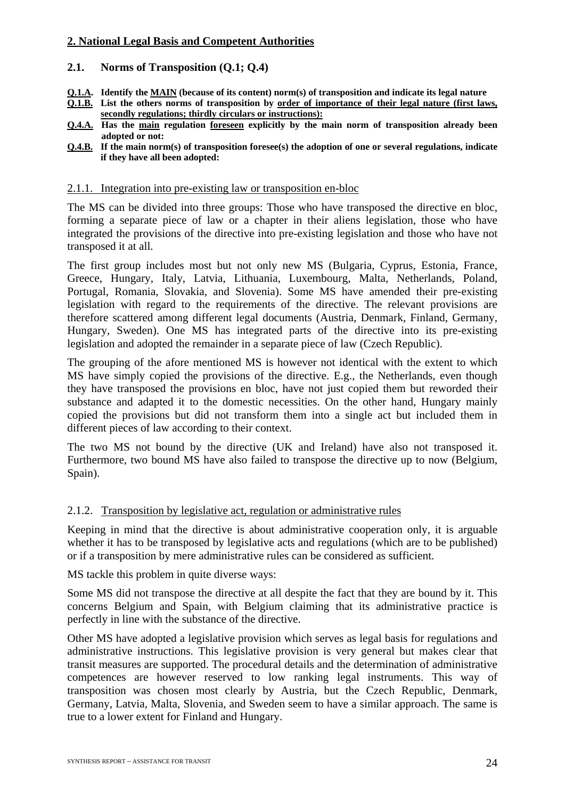## **2. National Legal Basis and Competent Authorities**

#### **2.1. Norms of Transposition (Q.1; Q.4)**

- **Q.1.A. Identify the MAIN (because of its content) norm(s) of transposition and indicate its legal nature**
- **Q.1.B. List the others norms of transposition by order of importance of their legal nature (first laws, secondly regulations; thirdly circulars or instructions):**
- **Q.4.A. Has the main regulation foreseen explicitly by the main norm of transposition already been adopted or not:**
- **Q.4.B. If the main norm(s) of transposition foresee(s) the adoption of one or several regulations, indicate if they have all been adopted:**

#### 2.1.1. Integration into pre-existing law or transposition en-bloc

The MS can be divided into three groups: Those who have transposed the directive en bloc, forming a separate piece of law or a chapter in their aliens legislation, those who have integrated the provisions of the directive into pre-existing legislation and those who have not transposed it at all.

The first group includes most but not only new MS (Bulgaria, Cyprus, Estonia, France, Greece, Hungary, Italy, Latvia, Lithuania, Luxembourg, Malta, Netherlands, Poland, Portugal, Romania, Slovakia, and Slovenia). Some MS have amended their pre-existing legislation with regard to the requirements of the directive. The relevant provisions are therefore scattered among different legal documents (Austria, Denmark, Finland, Germany, Hungary, Sweden). One MS has integrated parts of the directive into its pre-existing legislation and adopted the remainder in a separate piece of law (Czech Republic).

The grouping of the afore mentioned MS is however not identical with the extent to which MS have simply copied the provisions of the directive. E.g., the Netherlands, even though they have transposed the provisions en bloc, have not just copied them but reworded their substance and adapted it to the domestic necessities. On the other hand, Hungary mainly copied the provisions but did not transform them into a single act but included them in different pieces of law according to their context.

The two MS not bound by the directive (UK and Ireland) have also not transposed it. Furthermore, two bound MS have also failed to transpose the directive up to now (Belgium, Spain).

#### 2.1.2. Transposition by legislative act, regulation or administrative rules

Keeping in mind that the directive is about administrative cooperation only, it is arguable whether it has to be transposed by legislative acts and regulations (which are to be published) or if a transposition by mere administrative rules can be considered as sufficient.

MS tackle this problem in quite diverse ways:

Some MS did not transpose the directive at all despite the fact that they are bound by it. This concerns Belgium and Spain, with Belgium claiming that its administrative practice is perfectly in line with the substance of the directive.

Other MS have adopted a legislative provision which serves as legal basis for regulations and administrative instructions. This legislative provision is very general but makes clear that transit measures are supported. The procedural details and the determination of administrative competences are however reserved to low ranking legal instruments. This way of transposition was chosen most clearly by Austria, but the Czech Republic, Denmark, Germany, Latvia, Malta, Slovenia, and Sweden seem to have a similar approach. The same is true to a lower extent for Finland and Hungary.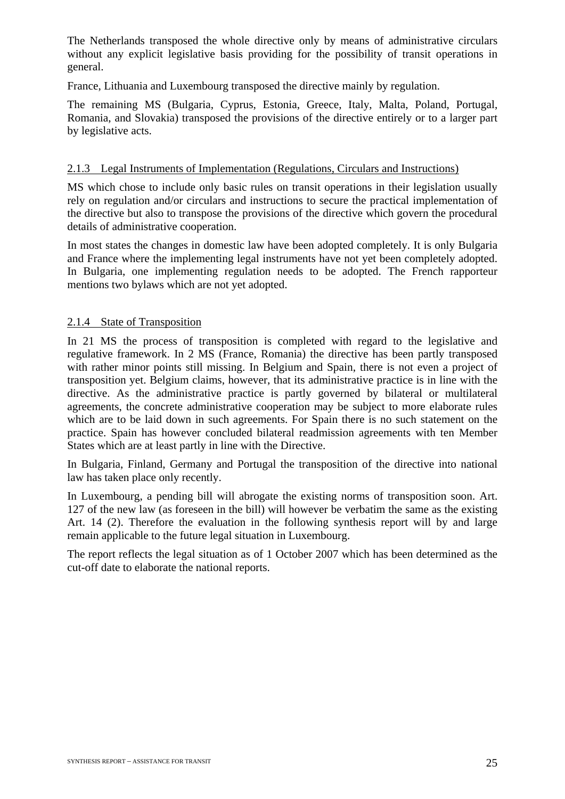The Netherlands transposed the whole directive only by means of administrative circulars without any explicit legislative basis providing for the possibility of transit operations in general.

France, Lithuania and Luxembourg transposed the directive mainly by regulation.

The remaining MS (Bulgaria, Cyprus, Estonia, Greece, Italy, Malta, Poland, Portugal, Romania, and Slovakia) transposed the provisions of the directive entirely or to a larger part by legislative acts.

#### 2.1.3 Legal Instruments of Implementation (Regulations, Circulars and Instructions)

MS which chose to include only basic rules on transit operations in their legislation usually rely on regulation and/or circulars and instructions to secure the practical implementation of the directive but also to transpose the provisions of the directive which govern the procedural details of administrative cooperation.

In most states the changes in domestic law have been adopted completely. It is only Bulgaria and France where the implementing legal instruments have not yet been completely adopted. In Bulgaria, one implementing regulation needs to be adopted. The French rapporteur mentions two bylaws which are not yet adopted.

#### 2.1.4 State of Transposition

In 21 MS the process of transposition is completed with regard to the legislative and regulative framework. In 2 MS (France, Romania) the directive has been partly transposed with rather minor points still missing. In Belgium and Spain, there is not even a project of transposition yet. Belgium claims, however, that its administrative practice is in line with the directive. As the administrative practice is partly governed by bilateral or multilateral agreements, the concrete administrative cooperation may be subject to more elaborate rules which are to be laid down in such agreements. For Spain there is no such statement on the practice. Spain has however concluded bilateral readmission agreements with ten Member States which are at least partly in line with the Directive.

In Bulgaria, Finland, Germany and Portugal the transposition of the directive into national law has taken place only recently.

In Luxembourg, a pending bill will abrogate the existing norms of transposition soon. Art. 127 of the new law (as foreseen in the bill) will however be verbatim the same as the existing Art. 14 (2). Therefore the evaluation in the following synthesis report will by and large remain applicable to the future legal situation in Luxembourg.

The report reflects the legal situation as of 1 October 2007 which has been determined as the cut-off date to elaborate the national reports.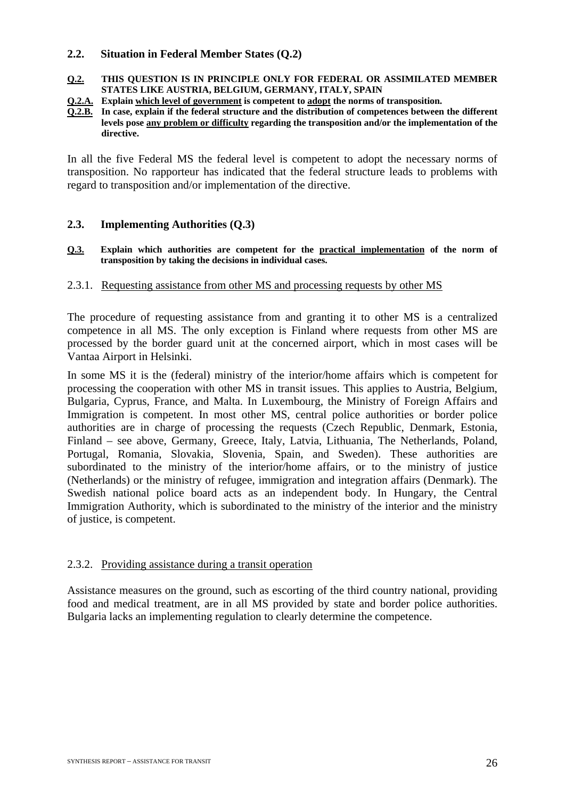#### **2.2. Situation in Federal Member States (Q.2)**

**Q.2. THIS QUESTION IS IN PRINCIPLE ONLY FOR FEDERAL OR ASSIMILATED MEMBER STATES LIKE AUSTRIA, BELGIUM, GERMANY, ITALY, SPAIN** 

**Q.2.A. Explain which level of government is competent to adopt the norms of transposition.** 

**Q.2.B. In case, explain if the federal structure and the distribution of competences between the different levels pose any problem or difficulty regarding the transposition and/or the implementation of the directive.** 

In all the five Federal MS the federal level is competent to adopt the necessary norms of transposition. No rapporteur has indicated that the federal structure leads to problems with regard to transposition and/or implementation of the directive.

#### **2.3. Implementing Authorities (Q.3)**

**Q.3. Explain which authorities are competent for the practical implementation of the norm of transposition by taking the decisions in individual cases.** 

#### 2.3.1. Requesting assistance from other MS and processing requests by other MS

The procedure of requesting assistance from and granting it to other MS is a centralized competence in all MS. The only exception is Finland where requests from other MS are processed by the border guard unit at the concerned airport, which in most cases will be Vantaa Airport in Helsinki.

In some MS it is the (federal) ministry of the interior/home affairs which is competent for processing the cooperation with other MS in transit issues. This applies to Austria, Belgium, Bulgaria, Cyprus, France, and Malta. In Luxembourg, the Ministry of Foreign Affairs and Immigration is competent. In most other MS, central police authorities or border police authorities are in charge of processing the requests (Czech Republic, Denmark, Estonia, Finland – see above, Germany, Greece, Italy, Latvia, Lithuania, The Netherlands, Poland, Portugal, Romania, Slovakia, Slovenia, Spain, and Sweden). These authorities are subordinated to the ministry of the interior/home affairs, or to the ministry of justice (Netherlands) or the ministry of refugee, immigration and integration affairs (Denmark). The Swedish national police board acts as an independent body. In Hungary, the Central Immigration Authority, which is subordinated to the ministry of the interior and the ministry of justice, is competent.

#### 2.3.2. Providing assistance during a transit operation

Assistance measures on the ground, such as escorting of the third country national, providing food and medical treatment, are in all MS provided by state and border police authorities. Bulgaria lacks an implementing regulation to clearly determine the competence.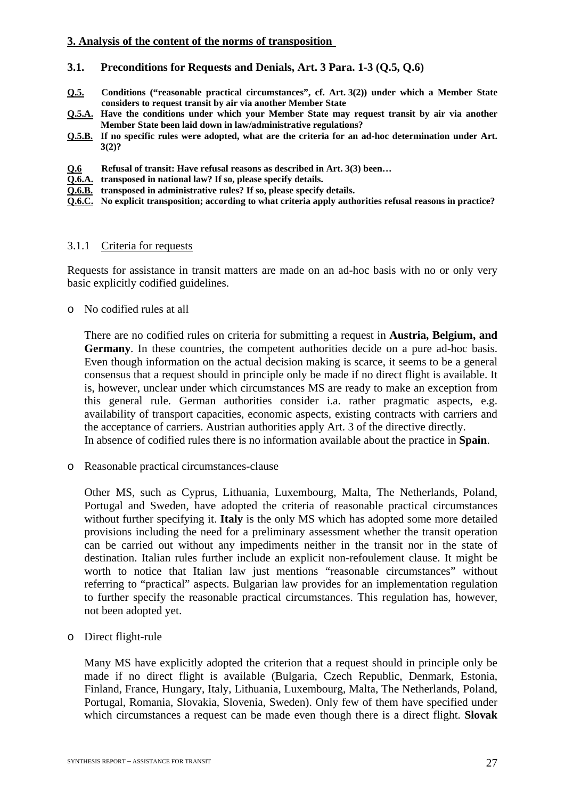#### **3. Analysis of the content of the norms of transposition**

#### **3.1. Preconditions for Requests and Denials, Art. 3 Para. 1-3 (Q.5, Q.6)**

- **Q.5. Conditions ("reasonable practical circumstances", cf. Art. 3(2)) under which a Member State considers to request transit by air via another Member State**
- **Q.5.A. Have the conditions under which your Member State may request transit by air via another Member State been laid down in law/administrative regulations?**
- **Q.5.B. If no specific rules were adopted, what are the criteria for an ad-hoc determination under Art. 3(2)?**
- **Q.6 Refusal of transit: Have refusal reasons as described in Art. 3(3) been…**
- **Q.6.A. transposed in national law? If so, please specify details.**
- **Q.6.B. transposed in administrative rules? If so, please specify details.**
- **Q.6.C. No explicit transposition; according to what criteria apply authorities refusal reasons in practice?**

#### 3.1.1 Criteria for requests

Requests for assistance in transit matters are made on an ad-hoc basis with no or only very basic explicitly codified guidelines.

o No codified rules at all

There are no codified rules on criteria for submitting a request in **Austria, Belgium, and Germany**. In these countries, the competent authorities decide on a pure ad-hoc basis. Even though information on the actual decision making is scarce, it seems to be a general consensus that a request should in principle only be made if no direct flight is available. It is, however, unclear under which circumstances MS are ready to make an exception from this general rule. German authorities consider i.a. rather pragmatic aspects, e.g. availability of transport capacities, economic aspects, existing contracts with carriers and the acceptance of carriers. Austrian authorities apply Art. 3 of the directive directly. In absence of codified rules there is no information available about the practice in **Spain**.

o Reasonable practical circumstances-clause

Other MS, such as Cyprus, Lithuania, Luxembourg, Malta, The Netherlands, Poland, Portugal and Sweden, have adopted the criteria of reasonable practical circumstances without further specifying it. **Italy** is the only MS which has adopted some more detailed provisions including the need for a preliminary assessment whether the transit operation can be carried out without any impediments neither in the transit nor in the state of destination. Italian rules further include an explicit non-refoulement clause. It might be worth to notice that Italian law just mentions "reasonable circumstances" without referring to "practical" aspects. Bulgarian law provides for an implementation regulation to further specify the reasonable practical circumstances. This regulation has, however, not been adopted yet.

o Direct flight-rule

Many MS have explicitly adopted the criterion that a request should in principle only be made if no direct flight is available (Bulgaria, Czech Republic, Denmark, Estonia, Finland, France, Hungary, Italy, Lithuania, Luxembourg, Malta, The Netherlands, Poland, Portugal, Romania, Slovakia, Slovenia, Sweden). Only few of them have specified under which circumstances a request can be made even though there is a direct flight. **Slovak**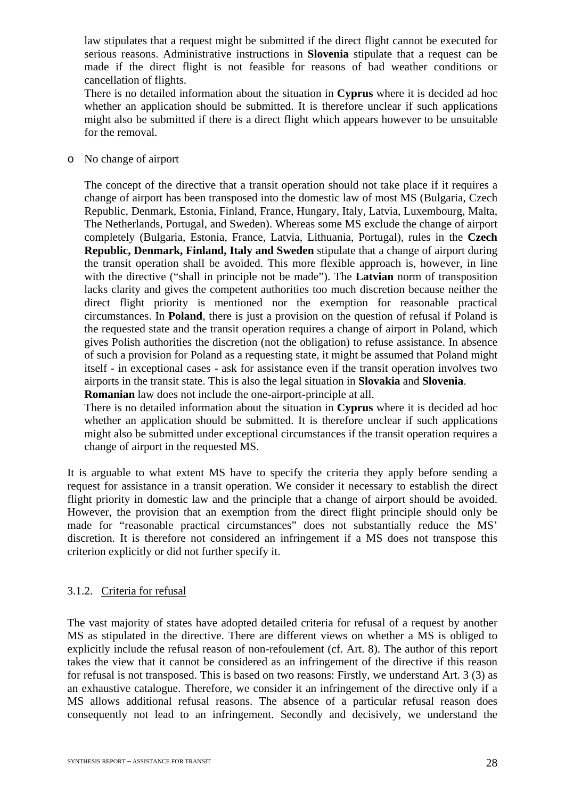law stipulates that a request might be submitted if the direct flight cannot be executed for serious reasons. Administrative instructions in **Slovenia** stipulate that a request can be made if the direct flight is not feasible for reasons of bad weather conditions or cancellation of flights.

There is no detailed information about the situation in **Cyprus** where it is decided ad hoc whether an application should be submitted. It is therefore unclear if such applications might also be submitted if there is a direct flight which appears however to be unsuitable for the removal.

o No change of airport

The concept of the directive that a transit operation should not take place if it requires a change of airport has been transposed into the domestic law of most MS (Bulgaria, Czech Republic, Denmark, Estonia, Finland, France, Hungary, Italy, Latvia, Luxembourg, Malta, The Netherlands, Portugal, and Sweden). Whereas some MS exclude the change of airport completely (Bulgaria, Estonia, France, Latvia, Lithuania, Portugal), rules in the **Czech Republic, Denmark, Finland, Italy and Sweden** stipulate that a change of airport during the transit operation shall be avoided. This more flexible approach is, however, in line with the directive ("shall in principle not be made"). The **Latvian** norm of transposition lacks clarity and gives the competent authorities too much discretion because neither the direct flight priority is mentioned nor the exemption for reasonable practical circumstances. In **Poland**, there is just a provision on the question of refusal if Poland is the requested state and the transit operation requires a change of airport in Poland, which gives Polish authorities the discretion (not the obligation) to refuse assistance. In absence of such a provision for Poland as a requesting state, it might be assumed that Poland might itself - in exceptional cases - ask for assistance even if the transit operation involves two airports in the transit state. This is also the legal situation in **Slovakia** and **Slovenia**. **Romanian** law does not include the one-airport-principle at all.

There is no detailed information about the situation in **Cyprus** where it is decided ad hoc whether an application should be submitted. It is therefore unclear if such applications might also be submitted under exceptional circumstances if the transit operation requires a change of airport in the requested MS.

It is arguable to what extent MS have to specify the criteria they apply before sending a request for assistance in a transit operation. We consider it necessary to establish the direct flight priority in domestic law and the principle that a change of airport should be avoided. However, the provision that an exemption from the direct flight principle should only be made for "reasonable practical circumstances" does not substantially reduce the MS' discretion. It is therefore not considered an infringement if a MS does not transpose this criterion explicitly or did not further specify it.

## 3.1.2. Criteria for refusal

The vast majority of states have adopted detailed criteria for refusal of a request by another MS as stipulated in the directive. There are different views on whether a MS is obliged to explicitly include the refusal reason of non-refoulement (cf. Art. 8). The author of this report takes the view that it cannot be considered as an infringement of the directive if this reason for refusal is not transposed. This is based on two reasons: Firstly, we understand Art. 3 (3) as an exhaustive catalogue. Therefore, we consider it an infringement of the directive only if a MS allows additional refusal reasons. The absence of a particular refusal reason does consequently not lead to an infringement. Secondly and decisively, we understand the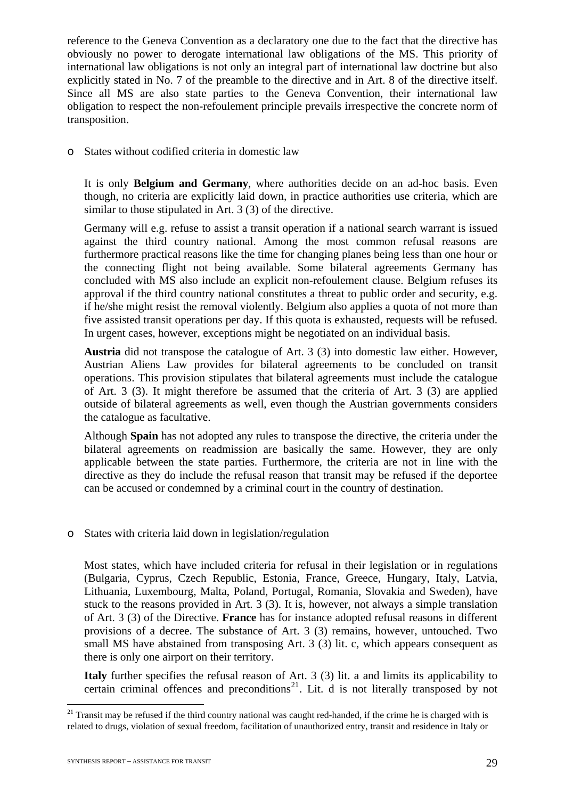reference to the Geneva Convention as a declaratory one due to the fact that the directive has obviously no power to derogate international law obligations of the MS. This priority of international law obligations is not only an integral part of international law doctrine but also explicitly stated in No. 7 of the preamble to the directive and in Art. 8 of the directive itself. Since all MS are also state parties to the Geneva Convention, their international law obligation to respect the non-refoulement principle prevails irrespective the concrete norm of transposition.

o States without codified criteria in domestic law

It is only **Belgium and Germany**, where authorities decide on an ad-hoc basis. Even though, no criteria are explicitly laid down, in practice authorities use criteria, which are similar to those stipulated in Art. 3 (3) of the directive.

Germany will e.g. refuse to assist a transit operation if a national search warrant is issued against the third country national. Among the most common refusal reasons are furthermore practical reasons like the time for changing planes being less than one hour or the connecting flight not being available. Some bilateral agreements Germany has concluded with MS also include an explicit non-refoulement clause. Belgium refuses its approval if the third country national constitutes a threat to public order and security, e.g. if he/she might resist the removal violently. Belgium also applies a quota of not more than five assisted transit operations per day. If this quota is exhausted, requests will be refused. In urgent cases, however, exceptions might be negotiated on an individual basis.

**Austria** did not transpose the catalogue of Art. 3 (3) into domestic law either. However, Austrian Aliens Law provides for bilateral agreements to be concluded on transit operations. This provision stipulates that bilateral agreements must include the catalogue of Art. 3 (3). It might therefore be assumed that the criteria of Art. 3 (3) are applied outside of bilateral agreements as well, even though the Austrian governments considers the catalogue as facultative.

Although **Spain** has not adopted any rules to transpose the directive, the criteria under the bilateral agreements on readmission are basically the same. However, they are only applicable between the state parties. Furthermore, the criteria are not in line with the directive as they do include the refusal reason that transit may be refused if the deportee can be accused or condemned by a criminal court in the country of destination.

#### o States with criteria laid down in legislation/regulation

Most states, which have included criteria for refusal in their legislation or in regulations (Bulgaria, Cyprus, Czech Republic, Estonia, France, Greece, Hungary, Italy, Latvia, Lithuania, Luxembourg, Malta, Poland, Portugal, Romania, Slovakia and Sweden), have stuck to the reasons provided in Art. 3 (3). It is, however, not always a simple translation of Art. 3 (3) of the Directive. **France** has for instance adopted refusal reasons in different provisions of a decree. The substance of Art. 3 (3) remains, however, untouched. Two small MS have abstained from transposing Art. 3 (3) lit. c, which appears consequent as there is only one airport on their territory.

**Italy** further specifies the refusal reason of Art. 3 (3) lit. a and limits its applicability to certain criminal offences and preconditions<sup>[21](#page-29-0)</sup>. Lit. d is not literally transposed by not

<u>.</u>

<span id="page-29-0"></span> $21$  Transit may be refused if the third country national was caught red-handed, if the crime he is charged with is related to drugs, violation of sexual freedom, facilitation of unauthorized entry, transit and residence in Italy or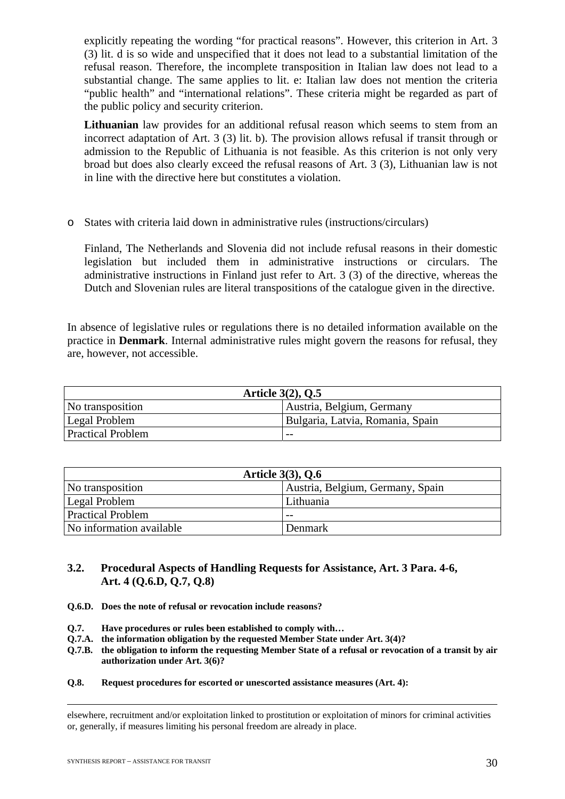explicitly repeating the wording "for practical reasons". However, this criterion in Art. 3 (3) lit. d is so wide and unspecified that it does not lead to a substantial limitation of the refusal reason. Therefore, the incomplete transposition in Italian law does not lead to a substantial change. The same applies to lit. e: Italian law does not mention the criteria "public health" and "international relations". These criteria might be regarded as part of the public policy and security criterion.

**Lithuanian** law provides for an additional refusal reason which seems to stem from an incorrect adaptation of Art. 3 (3) lit. b). The provision allows refusal if transit through or admission to the Republic of Lithuania is not feasible. As this criterion is not only very broad but does also clearly exceed the refusal reasons of Art. 3 (3), Lithuanian law is not in line with the directive here but constitutes a violation.

o States with criteria laid down in administrative rules (instructions/circulars)

Finland, The Netherlands and Slovenia did not include refusal reasons in their domestic legislation but included them in administrative instructions or circulars. The administrative instructions in Finland just refer to Art. 3 (3) of the directive, whereas the Dutch and Slovenian rules are literal transpositions of the catalogue given in the directive.

In absence of legislative rules or regulations there is no detailed information available on the practice in **Denmark**. Internal administrative rules might govern the reasons for refusal, they are, however, not accessible.

| Article $3(2)$ , Q.5     |                                  |
|--------------------------|----------------------------------|
| No transposition         | Austria, Belgium, Germany        |
| Legal Problem            | Bulgaria, Latvia, Romania, Spain |
| <b>Practical Problem</b> | $- -$                            |

| Article $3(3)$ , Q.6     |                                  |  |
|--------------------------|----------------------------------|--|
| No transposition         | Austria, Belgium, Germany, Spain |  |
| Legal Problem            | Lithuania                        |  |
| <b>Practical Problem</b> | $ -$                             |  |
| No information available | Denmark                          |  |

## **3.2. Procedural Aspects of Handling Requests for Assistance, Art. 3 Para. 4-6, Art. 4 (Q.6.D, Q.7, Q.8)**

- **Q.6.D. Does the note of refusal or revocation include reasons?**
- **Q.7. Have procedures or rules been established to comply with…**
- **Q.7.A. the information obligation by the requested Member State under Art. 3(4)?**
- **Q.7.B. the obligation to inform the requesting Member State of a refusal or revocation of a transit by air authorization under Art. 3(6)?**
- **Q.8. Request procedures for escorted or unescorted assistance measures (Art. 4):**

 elsewhere, recruitment and/or exploitation linked to prostitution or exploitation of minors for criminal activities or, generally, if measures limiting his personal freedom are already in place.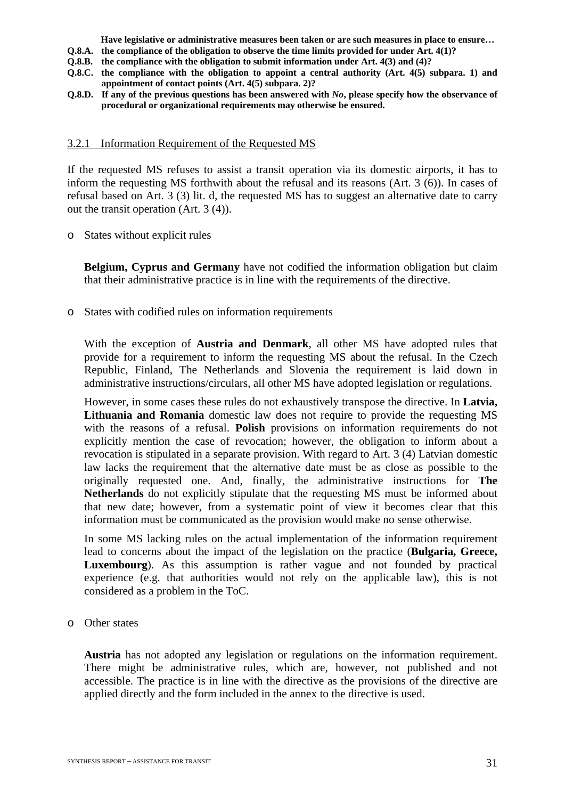**Have legislative or administrative measures been taken or are such measures in place to ensure…** 

- **Q.8.A. the compliance of the obligation to observe the time limits provided for under Art. 4(1)?**
- **Q.8.B. the compliance with the obligation to submit information under Art. 4(3) and (4)?**
- **Q.8.C. the compliance with the obligation to appoint a central authority (Art. 4(5) subpara. 1) and appointment of contact points (Art. 4(5) subpara. 2)?**
- **Q.8.D. If any of the previous questions has been answered with** *No***, please specify how the observance of procedural or organizational requirements may otherwise be ensured.**

#### 3.2.1 Information Requirement of the Requested MS

If the requested MS refuses to assist a transit operation via its domestic airports, it has to inform the requesting MS forthwith about the refusal and its reasons (Art. 3 (6)). In cases of refusal based on Art. 3 (3) lit. d, the requested MS has to suggest an alternative date to carry out the transit operation (Art. 3 (4)).

o States without explicit rules

**Belgium, Cyprus and Germany** have not codified the information obligation but claim that their administrative practice is in line with the requirements of the directive.

o States with codified rules on information requirements

With the exception of **Austria and Denmark**, all other MS have adopted rules that provide for a requirement to inform the requesting MS about the refusal. In the Czech Republic, Finland, The Netherlands and Slovenia the requirement is laid down in administrative instructions/circulars, all other MS have adopted legislation or regulations.

However, in some cases these rules do not exhaustively transpose the directive. In **Latvia, Lithuania and Romania** domestic law does not require to provide the requesting MS with the reasons of a refusal. **Polish** provisions on information requirements do not explicitly mention the case of revocation; however, the obligation to inform about a revocation is stipulated in a separate provision. With regard to Art. 3 (4) Latvian domestic law lacks the requirement that the alternative date must be as close as possible to the originally requested one. And, finally, the administrative instructions for **The Netherlands** do not explicitly stipulate that the requesting MS must be informed about that new date; however, from a systematic point of view it becomes clear that this information must be communicated as the provision would make no sense otherwise.

In some MS lacking rules on the actual implementation of the information requirement lead to concerns about the impact of the legislation on the practice (**Bulgaria, Greece, Luxembourg**). As this assumption is rather vague and not founded by practical experience (e.g. that authorities would not rely on the applicable law), this is not considered as a problem in the ToC.

o Other states

**Austria** has not adopted any legislation or regulations on the information requirement. There might be administrative rules, which are, however, not published and not accessible. The practice is in line with the directive as the provisions of the directive are applied directly and the form included in the annex to the directive is used.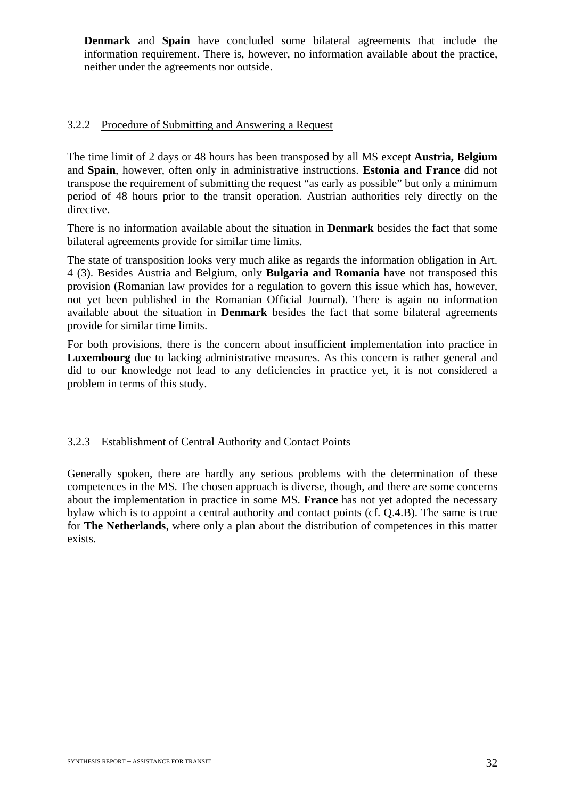**Denmark** and **Spain** have concluded some bilateral agreements that include the information requirement. There is, however, no information available about the practice, neither under the agreements nor outside.

#### 3.2.2 Procedure of Submitting and Answering a Request

The time limit of 2 days or 48 hours has been transposed by all MS except **Austria, Belgium**  and **Spain**, however, often only in administrative instructions. **Estonia and France** did not transpose the requirement of submitting the request "as early as possible" but only a minimum period of 48 hours prior to the transit operation. Austrian authorities rely directly on the directive.

There is no information available about the situation in **Denmark** besides the fact that some bilateral agreements provide for similar time limits.

The state of transposition looks very much alike as regards the information obligation in Art. 4 (3). Besides Austria and Belgium, only **Bulgaria and Romania** have not transposed this provision (Romanian law provides for a regulation to govern this issue which has, however, not yet been published in the Romanian Official Journal). There is again no information available about the situation in **Denmark** besides the fact that some bilateral agreements provide for similar time limits.

For both provisions, there is the concern about insufficient implementation into practice in **Luxembourg** due to lacking administrative measures. As this concern is rather general and did to our knowledge not lead to any deficiencies in practice yet, it is not considered a problem in terms of this study.

#### 3.2.3 Establishment of Central Authority and Contact Points

Generally spoken, there are hardly any serious problems with the determination of these competences in the MS. The chosen approach is diverse, though, and there are some concerns about the implementation in practice in some MS. **France** has not yet adopted the necessary bylaw which is to appoint a central authority and contact points (cf. Q.4.B). The same is true for **The Netherlands**, where only a plan about the distribution of competences in this matter exists.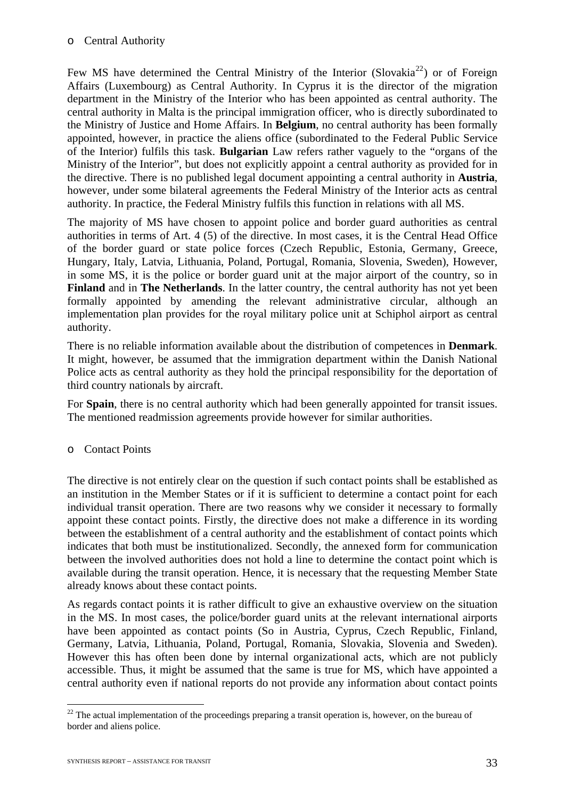#### o Central Authority

Few MS have determined the Central Ministry of the Interior (Slovakia<sup>[22](#page-33-0)</sup>) or of Foreign Affairs (Luxembourg) as Central Authority. In Cyprus it is the director of the migration department in the Ministry of the Interior who has been appointed as central authority. The central authority in Malta is the principal immigration officer, who is directly subordinated to the Ministry of Justice and Home Affairs. In **Belgium**, no central authority has been formally appointed, however, in practice the aliens office (subordinated to the Federal Public Service of the Interior) fulfils this task. **Bulgarian** Law refers rather vaguely to the "organs of the Ministry of the Interior", but does not explicitly appoint a central authority as provided for in the directive. There is no published legal document appointing a central authority in **Austria**, however, under some bilateral agreements the Federal Ministry of the Interior acts as central authority. In practice, the Federal Ministry fulfils this function in relations with all MS.

The majority of MS have chosen to appoint police and border guard authorities as central authorities in terms of Art. 4 (5) of the directive. In most cases, it is the Central Head Office of the border guard or state police forces (Czech Republic, Estonia, Germany, Greece, Hungary, Italy, Latvia, Lithuania, Poland, Portugal, Romania, Slovenia, Sweden), However, in some MS, it is the police or border guard unit at the major airport of the country, so in **Finland** and in **The Netherlands**. In the latter country, the central authority has not yet been formally appointed by amending the relevant administrative circular, although an implementation plan provides for the royal military police unit at Schiphol airport as central authority.

There is no reliable information available about the distribution of competences in **Denmark**. It might, however, be assumed that the immigration department within the Danish National Police acts as central authority as they hold the principal responsibility for the deportation of third country nationals by aircraft.

For **Spain**, there is no central authority which had been generally appointed for transit issues. The mentioned readmission agreements provide however for similar authorities.

## o Contact Points

The directive is not entirely clear on the question if such contact points shall be established as an institution in the Member States or if it is sufficient to determine a contact point for each individual transit operation. There are two reasons why we consider it necessary to formally appoint these contact points. Firstly, the directive does not make a difference in its wording between the establishment of a central authority and the establishment of contact points which indicates that both must be institutionalized. Secondly, the annexed form for communication between the involved authorities does not hold a line to determine the contact point which is available during the transit operation. Hence, it is necessary that the requesting Member State already knows about these contact points.

As regards contact points it is rather difficult to give an exhaustive overview on the situation in the MS. In most cases, the police/border guard units at the relevant international airports have been appointed as contact points (So in Austria, Cyprus, Czech Republic, Finland, Germany, Latvia, Lithuania, Poland, Portugal, Romania, Slovakia, Slovenia and Sweden). However this has often been done by internal organizational acts, which are not publicly accessible. Thus, it might be assumed that the same is true for MS, which have appointed a central authority even if national reports do not provide any information about contact points

<span id="page-33-0"></span><sup>&</sup>lt;u>.</u>  $22$  The actual implementation of the proceedings preparing a transit operation is, however, on the bureau of border and aliens police.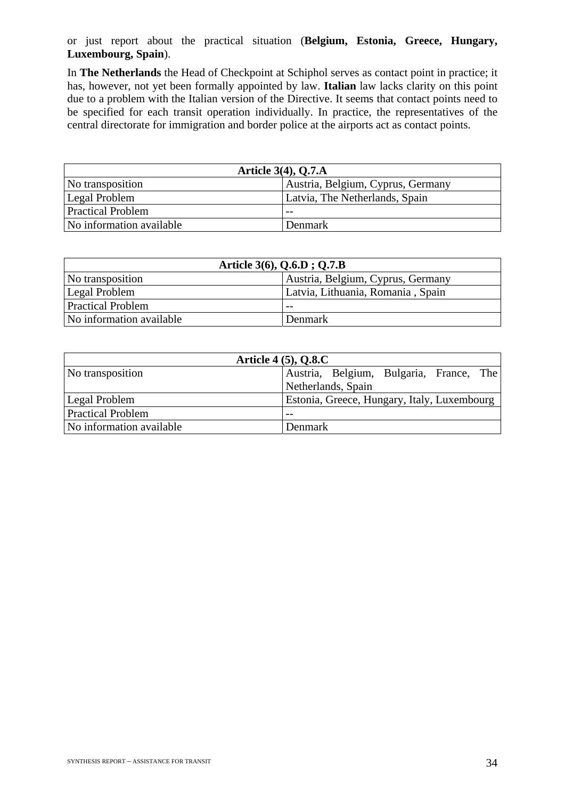or just report about the practical situation (**Belgium, Estonia, Greece, Hungary, Luxembourg, Spain**).

In **The Netherlands** the Head of Checkpoint at Schiphol serves as contact point in practice; it has, however, not yet been formally appointed by law. **Italian** law lacks clarity on this point due to a problem with the Italian version of the Directive. It seems that contact points need to be specified for each transit operation individually. In practice, the representatives of the central directorate for immigration and border police at the airports act as contact points.

| Article $3(4)$ , Q.7.A   |                                   |
|--------------------------|-----------------------------------|
| No transposition         | Austria, Belgium, Cyprus, Germany |
| Legal Problem            | Latvia, The Netherlands, Spain    |
| <b>Practical Problem</b> | $- -$                             |
| No information available | Denmark                           |

| Article 3(6), Q.6.D; Q.7.B |                                   |
|----------------------------|-----------------------------------|
| No transposition           | Austria, Belgium, Cyprus, Germany |
| Legal Problem              | Latvia, Lithuania, Romania, Spain |
| <b>Practical Problem</b>   |                                   |
| No information available   | Denmark                           |

| <b>Article 4 (5), Q.8.C</b> |                                             |  |
|-----------------------------|---------------------------------------------|--|
| No transposition            | Austria, Belgium, Bulgaria, France, The     |  |
|                             | Netherlands, Spain                          |  |
| <b>Legal Problem</b>        | Estonia, Greece, Hungary, Italy, Luxembourg |  |
| <b>Practical Problem</b>    | $ -$                                        |  |
| No information available    | Denmark                                     |  |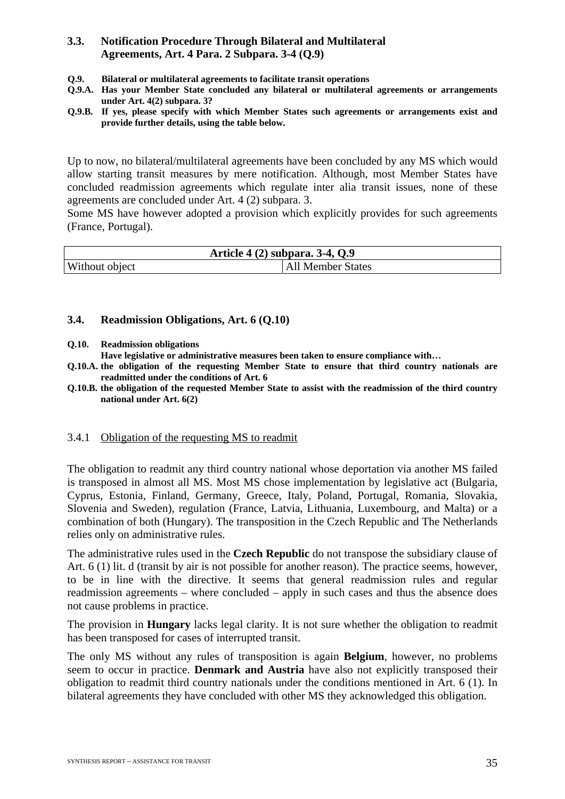## **3.3. Notification Procedure Through Bilateral and Multilateral Agreements, Art. 4 Para. 2 Subpara. 3-4 (Q.9)**

- **Q.9. Bilateral or multilateral agreements to facilitate transit operations**
- **Q.9.A. Has your Member State concluded any bilateral or multilateral agreements or arrangements under Art. 4(2) subpara. 3?**
- **Q.9.B. If yes, please specify with which Member States such agreements or arrangements exist and provide further details, using the table below.**

Up to now, no bilateral/multilateral agreements have been concluded by any MS which would allow starting transit measures by mere notification. Although, most Member States have concluded readmission agreements which regulate inter alia transit issues, none of these agreements are concluded under Art. 4 (2) subpara. 3.

Some MS have however adopted a provision which explicitly provides for such agreements (France, Portugal).

| Article 4 (2) subpara. 3-4, Q.9 |                   |
|---------------------------------|-------------------|
| Without object                  | All Member States |

#### **3.4. Readmission Obligations, Art. 6 (Q.10)**

**Q.10. Readmission obligations** 

**Have legislative or administrative measures been taken to ensure compliance with…** 

- **Q.10.A. the obligation of the requesting Member State to ensure that third country nationals are readmitted under the conditions of Art. 6**
- **Q.10.B. the obligation of the requested Member State to assist with the readmission of the third country national under Art. 6(2)**

#### 3.4.1 Obligation of the requesting MS to readmit

The obligation to readmit any third country national whose deportation via another MS failed is transposed in almost all MS. Most MS chose implementation by legislative act (Bulgaria, Cyprus, Estonia, Finland, Germany, Greece, Italy, Poland, Portugal, Romania, Slovakia, Slovenia and Sweden), regulation (France, Latvia, Lithuania, Luxembourg, and Malta) or a combination of both (Hungary). The transposition in the Czech Republic and The Netherlands relies only on administrative rules.

The administrative rules used in the **Czech Republic** do not transpose the subsidiary clause of Art. 6 (1) lit. d (transit by air is not possible for another reason). The practice seems, however, to be in line with the directive. It seems that general readmission rules and regular readmission agreements – where concluded – apply in such cases and thus the absence does not cause problems in practice.

The provision in **Hungary** lacks legal clarity. It is not sure whether the obligation to readmit has been transposed for cases of interrupted transit.

The only MS without any rules of transposition is again **Belgium**, however, no problems seem to occur in practice. **Denmark and Austria** have also not explicitly transposed their obligation to readmit third country nationals under the conditions mentioned in Art. 6 (1). In bilateral agreements they have concluded with other MS they acknowledged this obligation.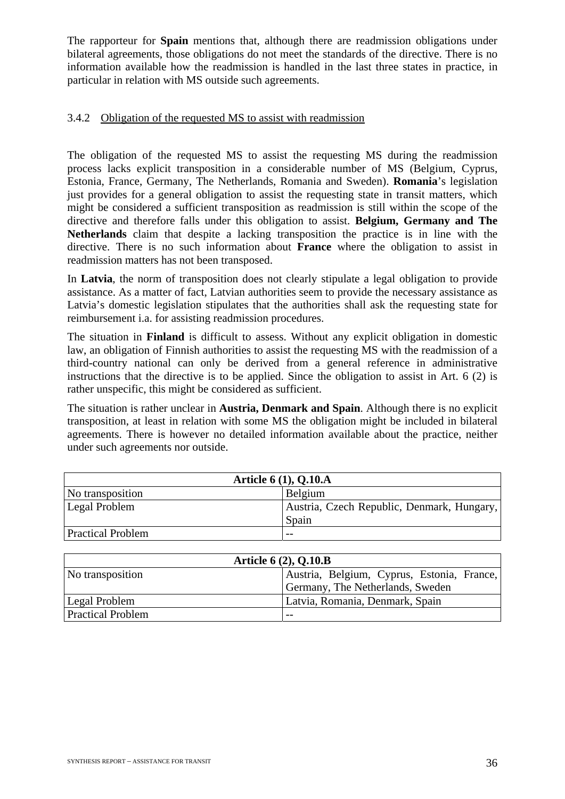The rapporteur for **Spain** mentions that, although there are readmission obligations under bilateral agreements, those obligations do not meet the standards of the directive. There is no information available how the readmission is handled in the last three states in practice, in particular in relation with MS outside such agreements.

## 3.4.2 Obligation of the requested MS to assist with readmission

The obligation of the requested MS to assist the requesting MS during the readmission process lacks explicit transposition in a considerable number of MS (Belgium, Cyprus, Estonia, France, Germany, The Netherlands, Romania and Sweden). **Romania**'s legislation just provides for a general obligation to assist the requesting state in transit matters, which might be considered a sufficient transposition as readmission is still within the scope of the directive and therefore falls under this obligation to assist. **Belgium, Germany and The Netherlands** claim that despite a lacking transposition the practice is in line with the directive. There is no such information about **France** where the obligation to assist in readmission matters has not been transposed.

In **Latvia**, the norm of transposition does not clearly stipulate a legal obligation to provide assistance. As a matter of fact, Latvian authorities seem to provide the necessary assistance as Latvia's domestic legislation stipulates that the authorities shall ask the requesting state for reimbursement i.a. for assisting readmission procedures.

The situation in **Finland** is difficult to assess. Without any explicit obligation in domestic law, an obligation of Finnish authorities to assist the requesting MS with the readmission of a third-country national can only be derived from a general reference in administrative instructions that the directive is to be applied. Since the obligation to assist in Art. 6 (2) is rather unspecific, this might be considered as sufficient.

The situation is rather unclear in **Austria, Denmark and Spain**. Although there is no explicit transposition, at least in relation with some MS the obligation might be included in bilateral agreements. There is however no detailed information available about the practice, neither under such agreements nor outside.

| Article 6 (1), Q.10.A    |                                            |  |  |  |  |  |  |
|--------------------------|--------------------------------------------|--|--|--|--|--|--|
| No transposition         | Belgium                                    |  |  |  |  |  |  |
| Legal Problem            | Austria, Czech Republic, Denmark, Hungary, |  |  |  |  |  |  |
|                          | Spain                                      |  |  |  |  |  |  |
| <b>Practical Problem</b> | $- -$                                      |  |  |  |  |  |  |

| <b>Article 6 (2), Q.10.B</b> |                                            |  |  |  |  |  |  |  |
|------------------------------|--------------------------------------------|--|--|--|--|--|--|--|
| No transposition             | Austria, Belgium, Cyprus, Estonia, France, |  |  |  |  |  |  |  |
|                              | Germany, The Netherlands, Sweden           |  |  |  |  |  |  |  |
| Legal Problem                | Latvia, Romania, Denmark, Spain            |  |  |  |  |  |  |  |
| <b>Practical Problem</b>     | $- -$                                      |  |  |  |  |  |  |  |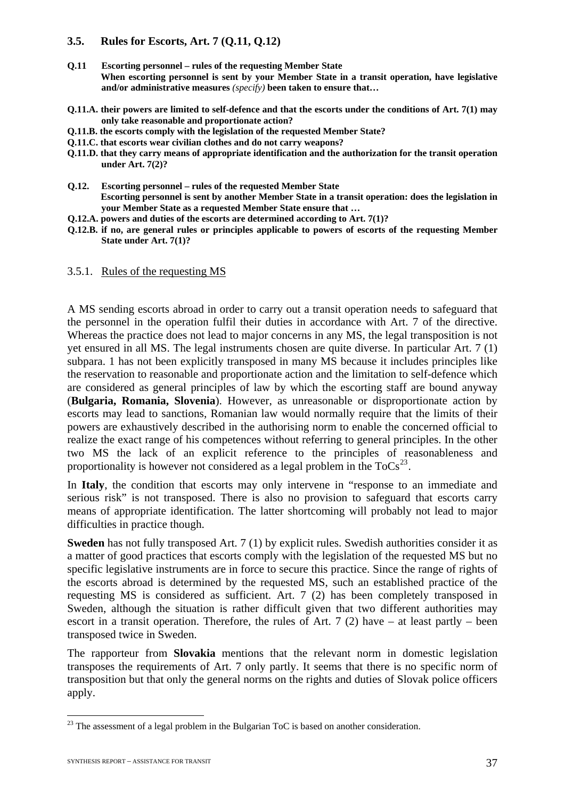#### **3.5. Rules for Escorts, Art. 7 (Q.11, Q.12)**

- **Q.11 Escorting personnel rules of the requesting Member State When escorting personnel is sent by your Member State in a transit operation, have legislative and/or administrative measures** *(specify)* **been taken to ensure that…**
- **Q.11.A. their powers are limited to self-defence and that the escorts under the conditions of Art. 7(1) may only take reasonable and proportionate action?**
- **Q.11.B. the escorts comply with the legislation of the requested Member State?**
- **Q.11.C. that escorts wear civilian clothes and do not carry weapons?**
- **Q.11.D. that they carry means of appropriate identification and the authorization for the transit operation under Art. 7(2)?**
- **Q.12. Escorting personnel rules of the requested Member State Escorting personnel is sent by another Member State in a transit operation: does the legislation in your Member State as a requested Member State ensure that …**
- **Q.12.A. powers and duties of the escorts are determined according to Art. 7(1)?**
- **Q.12.B. if no, are general rules or principles applicable to powers of escorts of the requesting Member State under Art. 7(1)?**

#### 3.5.1. Rules of the requesting MS

A MS sending escorts abroad in order to carry out a transit operation needs to safeguard that the personnel in the operation fulfil their duties in accordance with Art. 7 of the directive. Whereas the practice does not lead to major concerns in any MS, the legal transposition is not yet ensured in all MS. The legal instruments chosen are quite diverse. In particular Art. 7 (1) subpara. 1 has not been explicitly transposed in many MS because it includes principles like the reservation to reasonable and proportionate action and the limitation to self-defence which are considered as general principles of law by which the escorting staff are bound anyway (**Bulgaria, Romania, Slovenia**). However, as unreasonable or disproportionate action by escorts may lead to sanctions, Romanian law would normally require that the limits of their powers are exhaustively described in the authorising norm to enable the concerned official to realize the exact range of his competences without referring to general principles. In the other two MS the lack of an explicit reference to the principles of reasonableness and proportionality is however not considered as a legal problem in the  $T_0Cs^{23}$  $T_0Cs^{23}$  $T_0Cs^{23}$ .

In **Italy**, the condition that escorts may only intervene in "response to an immediate and serious risk" is not transposed. There is also no provision to safeguard that escorts carry means of appropriate identification. The latter shortcoming will probably not lead to major difficulties in practice though.

**Sweden** has not fully transposed Art. 7 (1) by explicit rules. Swedish authorities consider it as a matter of good practices that escorts comply with the legislation of the requested MS but no specific legislative instruments are in force to secure this practice. Since the range of rights of the escorts abroad is determined by the requested MS, such an established practice of the requesting MS is considered as sufficient. Art. 7 (2) has been completely transposed in Sweden, although the situation is rather difficult given that two different authorities may escort in a transit operation. Therefore, the rules of Art. 7 (2) have – at least partly – been transposed twice in Sweden.

The rapporteur from **Slovakia** mentions that the relevant norm in domestic legislation transposes the requirements of Art. 7 only partly. It seems that there is no specific norm of transposition but that only the general norms on the rights and duties of Slovak police officers apply.

<span id="page-37-0"></span><sup>&</sup>lt;sup>23</sup> The assessment of a legal problem in the Bulgarian ToC is based on another consideration.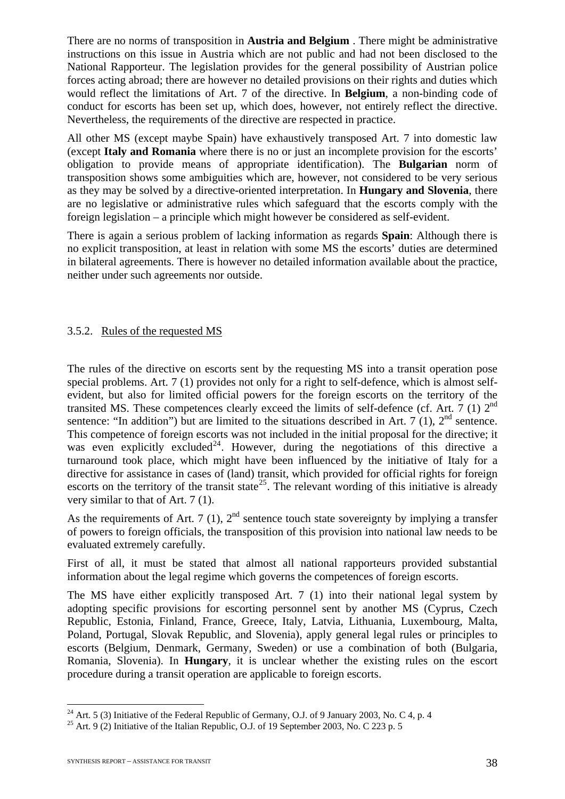There are no norms of transposition in **Austria and Belgium** . There might be administrative instructions on this issue in Austria which are not public and had not been disclosed to the National Rapporteur. The legislation provides for the general possibility of Austrian police forces acting abroad; there are however no detailed provisions on their rights and duties which would reflect the limitations of Art. 7 of the directive. In **Belgium**, a non-binding code of conduct for escorts has been set up, which does, however, not entirely reflect the directive. Nevertheless, the requirements of the directive are respected in practice.

All other MS (except maybe Spain) have exhaustively transposed Art. 7 into domestic law (except **Italy and Romania** where there is no or just an incomplete provision for the escorts' obligation to provide means of appropriate identification). The **Bulgarian** norm of transposition shows some ambiguities which are, however, not considered to be very serious as they may be solved by a directive-oriented interpretation. In **Hungary and Slovenia**, there are no legislative or administrative rules which safeguard that the escorts comply with the foreign legislation – a principle which might however be considered as self-evident.

There is again a serious problem of lacking information as regards **Spain**: Although there is no explicit transposition, at least in relation with some MS the escorts' duties are determined in bilateral agreements. There is however no detailed information available about the practice, neither under such agreements nor outside.

## 3.5.2. Rules of the requested MS

The rules of the directive on escorts sent by the requesting MS into a transit operation pose special problems. Art. 7 (1) provides not only for a right to self-defence, which is almost selfevident, but also for limited official powers for the foreign escorts on the territory of the transited MS. These competences clearly exceed the limits of self-defence (cf. Art. 7 (1) 2nd sentence: "In addition") but are limited to the situations described in Art. 7 (1),  $2<sup>nd</sup>$  sentence. This competence of foreign escorts was not included in the initial proposal for the directive; it was even explicitly excluded<sup>[24](#page-38-0)</sup>. However, during the negotiations of this directive a turnaround took place, which might have been influenced by the initiative of Italy for a directive for assistance in cases of (land) transit, which provided for official rights for foreign escorts on the territory of the transit state<sup>[25](#page-38-1)</sup>. The relevant wording of this initiative is already very similar to that of Art. 7 (1).

As the requirements of Art. 7 (1),  $2^{nd}$  sentence touch state sovereignty by implying a transfer of powers to foreign officials, the transposition of this provision into national law needs to be evaluated extremely carefully.

First of all, it must be stated that almost all national rapporteurs provided substantial information about the legal regime which governs the competences of foreign escorts.

The MS have either explicitly transposed Art. 7 (1) into their national legal system by adopting specific provisions for escorting personnel sent by another MS (Cyprus, Czech Republic, Estonia, Finland, France, Greece, Italy, Latvia, Lithuania, Luxembourg, Malta, Poland, Portugal, Slovak Republic, and Slovenia), apply general legal rules or principles to escorts (Belgium, Denmark, Germany, Sweden) or use a combination of both (Bulgaria, Romania, Slovenia). In **Hungary**, it is unclear whether the existing rules on the escort procedure during a transit operation are applicable to foreign escorts.

<u>.</u>

<span id="page-38-0"></span><sup>&</sup>lt;sup>24</sup> Art. 5 (3) Initiative of the Federal Republic of Germany, O.J. of 9 January 2003, No. C 4, p. 4 <sup>25</sup> Art. 9 (2) Initiative of the Italian Republic, O.J. of 19 September 2003, No. C 223 p. 5

<span id="page-38-1"></span>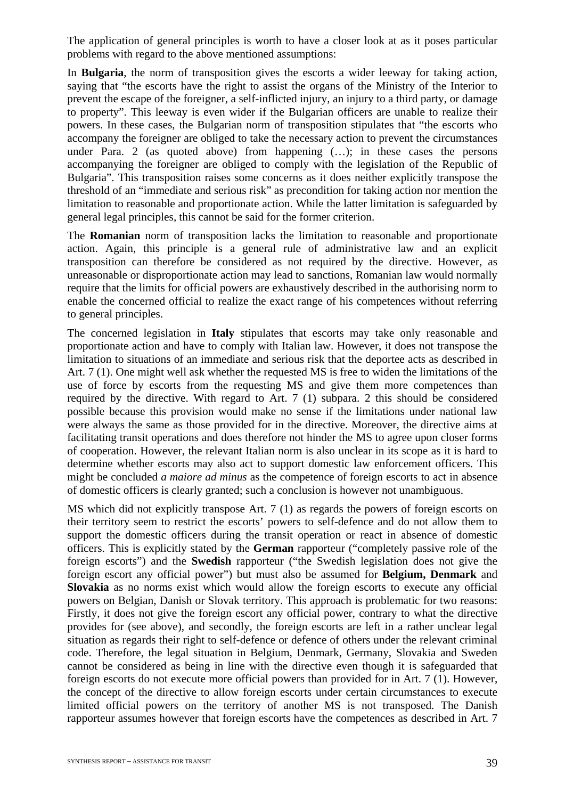The application of general principles is worth to have a closer look at as it poses particular problems with regard to the above mentioned assumptions:

In **Bulgaria**, the norm of transposition gives the escorts a wider leeway for taking action, saying that "the escorts have the right to assist the organs of the Ministry of the Interior to prevent the escape of the foreigner, a self-inflicted injury, an injury to a third party, or damage to property". This leeway is even wider if the Bulgarian officers are unable to realize their powers. In these cases, the Bulgarian norm of transposition stipulates that "the escorts who accompany the foreigner are obliged to take the necessary action to prevent the circumstances under Para. 2 (as quoted above) from happening (…); in these cases the persons accompanying the foreigner are obliged to comply with the legislation of the Republic of Bulgaria". This transposition raises some concerns as it does neither explicitly transpose the threshold of an "immediate and serious risk" as precondition for taking action nor mention the limitation to reasonable and proportionate action. While the latter limitation is safeguarded by general legal principles, this cannot be said for the former criterion.

The **Romanian** norm of transposition lacks the limitation to reasonable and proportionate action. Again, this principle is a general rule of administrative law and an explicit transposition can therefore be considered as not required by the directive. However, as unreasonable or disproportionate action may lead to sanctions, Romanian law would normally require that the limits for official powers are exhaustively described in the authorising norm to enable the concerned official to realize the exact range of his competences without referring to general principles.

The concerned legislation in **Italy** stipulates that escorts may take only reasonable and proportionate action and have to comply with Italian law. However, it does not transpose the limitation to situations of an immediate and serious risk that the deportee acts as described in Art. 7 (1). One might well ask whether the requested MS is free to widen the limitations of the use of force by escorts from the requesting MS and give them more competences than required by the directive. With regard to Art. 7 (1) subpara. 2 this should be considered possible because this provision would make no sense if the limitations under national law were always the same as those provided for in the directive. Moreover, the directive aims at facilitating transit operations and does therefore not hinder the MS to agree upon closer forms of cooperation. However, the relevant Italian norm is also unclear in its scope as it is hard to determine whether escorts may also act to support domestic law enforcement officers. This might be concluded *a maiore ad minus* as the competence of foreign escorts to act in absence of domestic officers is clearly granted; such a conclusion is however not unambiguous.

MS which did not explicitly transpose Art. 7 (1) as regards the powers of foreign escorts on their territory seem to restrict the escorts' powers to self-defence and do not allow them to support the domestic officers during the transit operation or react in absence of domestic officers. This is explicitly stated by the **German** rapporteur ("completely passive role of the foreign escorts") and the **Swedish** rapporteur ("the Swedish legislation does not give the foreign escort any official power") but must also be assumed for **Belgium, Denmark** and **Slovakia** as no norms exist which would allow the foreign escorts to execute any official powers on Belgian, Danish or Slovak territory. This approach is problematic for two reasons: Firstly, it does not give the foreign escort any official power, contrary to what the directive provides for (see above), and secondly, the foreign escorts are left in a rather unclear legal situation as regards their right to self-defence or defence of others under the relevant criminal code. Therefore, the legal situation in Belgium, Denmark, Germany, Slovakia and Sweden cannot be considered as being in line with the directive even though it is safeguarded that foreign escorts do not execute more official powers than provided for in Art. 7 (1). However, the concept of the directive to allow foreign escorts under certain circumstances to execute limited official powers on the territory of another MS is not transposed. The Danish rapporteur assumes however that foreign escorts have the competences as described in Art. 7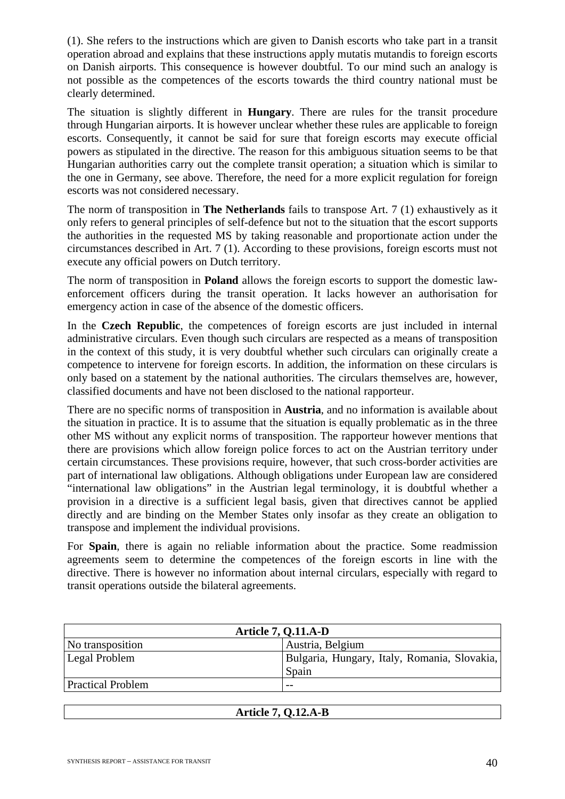(1). She refers to the instructions which are given to Danish escorts who take part in a transit operation abroad and explains that these instructions apply mutatis mutandis to foreign escorts on Danish airports. This consequence is however doubtful. To our mind such an analogy is not possible as the competences of the escorts towards the third country national must be clearly determined.

The situation is slightly different in **Hungary**. There are rules for the transit procedure through Hungarian airports. It is however unclear whether these rules are applicable to foreign escorts. Consequently, it cannot be said for sure that foreign escorts may execute official powers as stipulated in the directive. The reason for this ambiguous situation seems to be that Hungarian authorities carry out the complete transit operation; a situation which is similar to the one in Germany, see above. Therefore, the need for a more explicit regulation for foreign escorts was not considered necessary.

The norm of transposition in **The Netherlands** fails to transpose Art. 7 (1) exhaustively as it only refers to general principles of self-defence but not to the situation that the escort supports the authorities in the requested MS by taking reasonable and proportionate action under the circumstances described in Art. 7 (1). According to these provisions, foreign escorts must not execute any official powers on Dutch territory.

The norm of transposition in **Poland** allows the foreign escorts to support the domestic lawenforcement officers during the transit operation. It lacks however an authorisation for emergency action in case of the absence of the domestic officers.

In the **Czech Republic**, the competences of foreign escorts are just included in internal administrative circulars. Even though such circulars are respected as a means of transposition in the context of this study, it is very doubtful whether such circulars can originally create a competence to intervene for foreign escorts. In addition, the information on these circulars is only based on a statement by the national authorities. The circulars themselves are, however, classified documents and have not been disclosed to the national rapporteur.

There are no specific norms of transposition in **Austria**, and no information is available about the situation in practice. It is to assume that the situation is equally problematic as in the three other MS without any explicit norms of transposition. The rapporteur however mentions that there are provisions which allow foreign police forces to act on the Austrian territory under certain circumstances. These provisions require, however, that such cross-border activities are part of international law obligations. Although obligations under European law are considered "international law obligations" in the Austrian legal terminology, it is doubtful whether a provision in a directive is a sufficient legal basis, given that directives cannot be applied directly and are binding on the Member States only insofar as they create an obligation to transpose and implement the individual provisions.

For **Spain**, there is again no reliable information about the practice. Some readmission agreements seem to determine the competences of the foreign escorts in line with the directive. There is however no information about internal circulars, especially with regard to transit operations outside the bilateral agreements.

| <b>Article 7, Q.11.A-D</b> |                                                       |  |  |  |  |  |  |
|----------------------------|-------------------------------------------------------|--|--|--|--|--|--|
| No transposition           | Austria, Belgium                                      |  |  |  |  |  |  |
| Legal Problem              | Bulgaria, Hungary, Italy, Romania, Slovakia,<br>Spain |  |  |  |  |  |  |
| <b>Practical Problem</b>   | $ -$                                                  |  |  |  |  |  |  |
|                            |                                                       |  |  |  |  |  |  |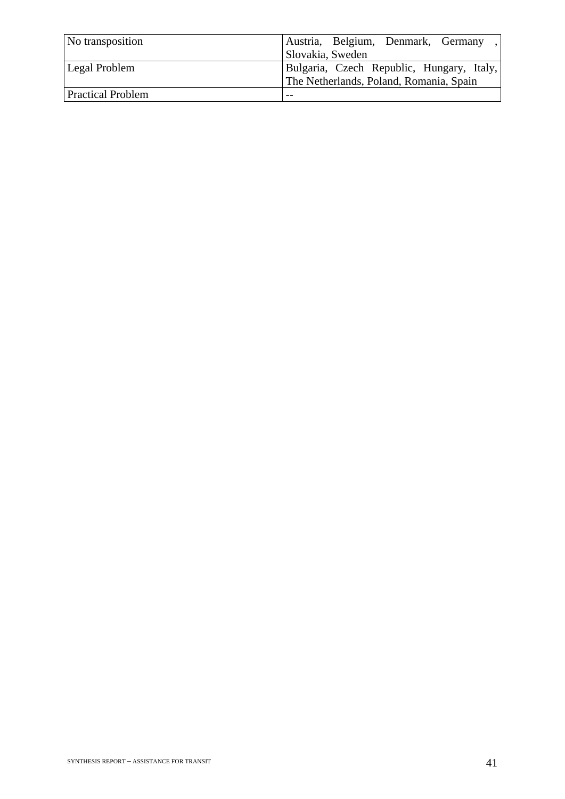| No transposition         | Austria, Belgium, Denmark, Germany,                                                  |
|--------------------------|--------------------------------------------------------------------------------------|
|                          | Slovakia, Sweden                                                                     |
| <b>Legal Problem</b>     | Bulgaria, Czech Republic, Hungary, Italy,<br>The Netherlands, Poland, Romania, Spain |
| <b>Practical Problem</b> | $- -$                                                                                |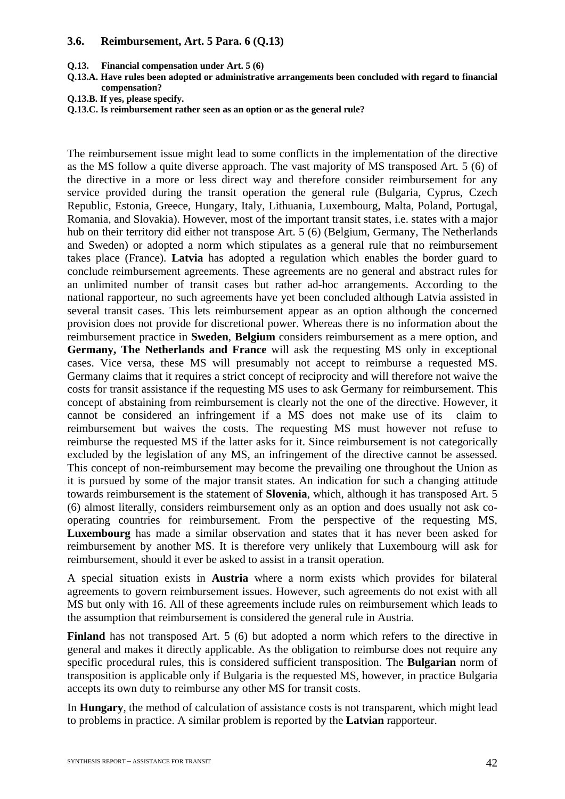#### **3.6. Reimbursement, Art. 5 Para. 6 (Q.13)**

- **Q.13. Financial compensation under Art. 5 (6)**
- **Q.13.A. Have rules been adopted or administrative arrangements been concluded with regard to financial compensation?**
- **Q.13.B. If yes, please specify.**
- **Q.13.C. Is reimbursement rather seen as an option or as the general rule?**

The reimbursement issue might lead to some conflicts in the implementation of the directive as the MS follow a quite diverse approach. The vast majority of MS transposed Art. 5 (6) of the directive in a more or less direct way and therefore consider reimbursement for any service provided during the transit operation the general rule (Bulgaria, Cyprus, Czech Republic, Estonia, Greece, Hungary, Italy, Lithuania, Luxembourg, Malta, Poland, Portugal, Romania, and Slovakia). However, most of the important transit states, i.e. states with a major hub on their territory did either not transpose Art. 5 (6) (Belgium, Germany, The Netherlands and Sweden) or adopted a norm which stipulates as a general rule that no reimbursement takes place (France). **Latvia** has adopted a regulation which enables the border guard to conclude reimbursement agreements. These agreements are no general and abstract rules for an unlimited number of transit cases but rather ad-hoc arrangements. According to the national rapporteur, no such agreements have yet been concluded although Latvia assisted in several transit cases. This lets reimbursement appear as an option although the concerned provision does not provide for discretional power. Whereas there is no information about the reimbursement practice in **Sweden**, **Belgium** considers reimbursement as a mere option, and **Germany, The Netherlands and France** will ask the requesting MS only in exceptional cases. Vice versa, these MS will presumably not accept to reimburse a requested MS. Germany claims that it requires a strict concept of reciprocity and will therefore not waive the costs for transit assistance if the requesting MS uses to ask Germany for reimbursement. This concept of abstaining from reimbursement is clearly not the one of the directive. However, it cannot be considered an infringement if a MS does not make use of its claim to reimbursement but waives the costs. The requesting MS must however not refuse to reimburse the requested MS if the latter asks for it. Since reimbursement is not categorically excluded by the legislation of any MS, an infringement of the directive cannot be assessed. This concept of non-reimbursement may become the prevailing one throughout the Union as it is pursued by some of the major transit states. An indication for such a changing attitude towards reimbursement is the statement of **Slovenia**, which, although it has transposed Art. 5 (6) almost literally, considers reimbursement only as an option and does usually not ask cooperating countries for reimbursement. From the perspective of the requesting MS, **Luxembourg** has made a similar observation and states that it has never been asked for reimbursement by another MS. It is therefore very unlikely that Luxembourg will ask for reimbursement, should it ever be asked to assist in a transit operation.

A special situation exists in **Austria** where a norm exists which provides for bilateral agreements to govern reimbursement issues. However, such agreements do not exist with all MS but only with 16. All of these agreements include rules on reimbursement which leads to the assumption that reimbursement is considered the general rule in Austria.

Finland has not transposed Art. 5 (6) but adopted a norm which refers to the directive in general and makes it directly applicable. As the obligation to reimburse does not require any specific procedural rules, this is considered sufficient transposition. The **Bulgarian** norm of transposition is applicable only if Bulgaria is the requested MS, however, in practice Bulgaria accepts its own duty to reimburse any other MS for transit costs.

In **Hungary**, the method of calculation of assistance costs is not transparent, which might lead to problems in practice. A similar problem is reported by the **Latvian** rapporteur.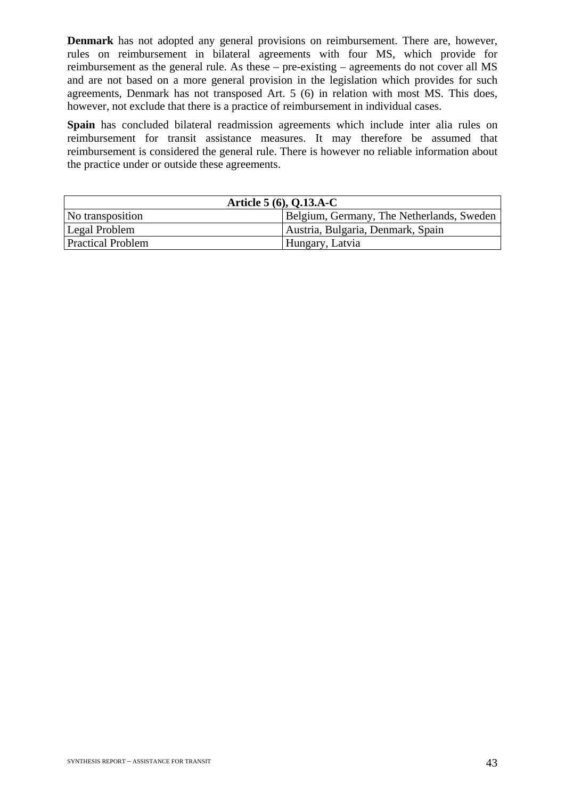**Denmark** has not adopted any general provisions on reimbursement. There are, however, rules on reimbursement in bilateral agreements with four MS, which provide for reimbursement as the general rule. As these – pre-existing – agreements do not cover all MS and are not based on a more general provision in the legislation which provides for such agreements, Denmark has not transposed Art. 5 (6) in relation with most MS. This does, however, not exclude that there is a practice of reimbursement in individual cases.

**Spain** has concluded bilateral readmission agreements which include inter alia rules on reimbursement for transit assistance measures. It may therefore be assumed that reimbursement is considered the general rule. There is however no reliable information about the practice under or outside these agreements.

| Article $5(6)$ , Q.13.A-C |                                           |  |  |  |  |  |  |  |
|---------------------------|-------------------------------------------|--|--|--|--|--|--|--|
| No transposition          | Belgium, Germany, The Netherlands, Sweden |  |  |  |  |  |  |  |
| Legal Problem             | Austria, Bulgaria, Denmark, Spain         |  |  |  |  |  |  |  |
| <b>Practical Problem</b>  | Hungary, Latvia                           |  |  |  |  |  |  |  |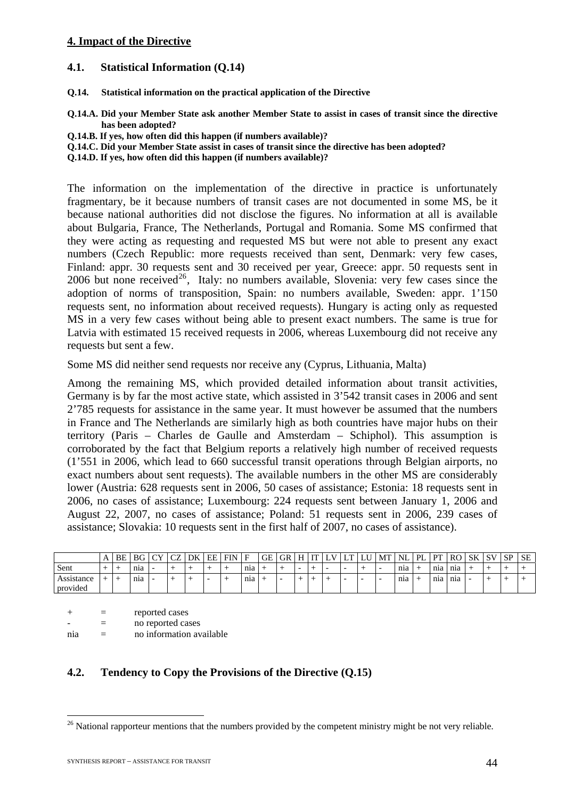#### **4. Impact of the Directive**

#### **4.1. Statistical Information (Q.14)**

- **Q.14. Statistical information on the practical application of the Directive**
- **Q.14.A. Did your Member State ask another Member State to assist in cases of transit since the directive has been adopted?**
- **Q.14.B. If yes, how often did this happen (if numbers available)?**
- **Q.14.C. Did your Member State assist in cases of transit since the directive has been adopted?**
- **Q.14.D. If yes, how often did this happen (if numbers available)?**

The information on the implementation of the directive in practice is unfortunately fragmentary, be it because numbers of transit cases are not documented in some MS, be it because national authorities did not disclose the figures. No information at all is available about Bulgaria, France, The Netherlands, Portugal and Romania. Some MS confirmed that they were acting as requesting and requested MS but were not able to present any exact numbers (Czech Republic: more requests received than sent, Denmark: very few cases, Finland: appr. 30 requests sent and 30 received per year, Greece: appr. 50 requests sent in 2006 but none received<sup>[26](#page-44-0)</sup>, Italy: no numbers available, Slovenia: very few cases since the adoption of norms of transposition, Spain: no numbers available, Sweden: appr. 1'150 requests sent, no information about received requests). Hungary is acting only as requested MS in a very few cases without being able to present exact numbers. The same is true for Latvia with estimated 15 received requests in 2006, whereas Luxembourg did not receive any requests but sent a few.

Some MS did neither send requests nor receive any (Cyprus, Lithuania, Malta)

Among the remaining MS, which provided detailed information about transit activities, Germany is by far the most active state, which assisted in 3'542 transit cases in 2006 and sent 2'785 requests for assistance in the same year. It must however be assumed that the numbers in France and The Netherlands are similarly high as both countries have major hubs on their territory (Paris – Charles de Gaulle and Amsterdam – Schiphol). This assumption is corroborated by the fact that Belgium reports a relatively high number of received requests (1'551 in 2006, which lead to 660 successful transit operations through Belgian airports, no exact numbers about sent requests). The available numbers in the other MS are considerably lower (Austria: 628 requests sent in 2006, 50 cases of assistance; Estonia: 18 requests sent in 2006, no cases of assistance; Luxembourg: 224 requests sent between January 1, 2006 and August 22, 2007, no cases of assistance; Poland: 51 requests sent in 2006, 239 cases of assistance; Slovakia: 10 requests sent in the first half of 2007, no cases of assistance).

|                                           | A | BE | <b>BG</b> | $\sim$<br>◡ | $\sim$<br>◡◡ | DK | EE | <b>FIN</b> | E   | GE | <b>GR</b> | H                        | TТ | ∸ | ∸ | ⊥∪ | MT                       | NL              | PL. | PТ  | RO               | SK | $\mathbf{C}$ | SP | SЕ |
|-------------------------------------------|---|----|-----------|-------------|--------------|----|----|------------|-----|----|-----------|--------------------------|----|---|---|----|--------------------------|-----------------|-----|-----|------------------|----|--------------|----|----|
| Sent                                      | - |    | nia       |             | -            |    |    |            | nia |    |           | $\overline{\phantom{0}}$ | -  |   | - |    | $\overline{\phantom{0}}$ | nia             |     | nia | n <sub>1</sub> a | -- |              |    |    |
| Assistance<br>$\cdot$ $\cdot$<br>provided |   |    | nia       | -           |              |    |    |            | nia |    | -         | -                        |    |   | - |    | $\overline{\phantom{0}}$ | n <sub>12</sub> |     | nia | nia              |    |              |    |    |

 $+$  = reported cases - = no reported cases nia = no information available

## **4.2. Tendency to Copy the Provisions of the Directive (Q.15)**

<span id="page-44-0"></span><sup>&</sup>lt;sup>26</sup> National rapporteur mentions that the numbers provided by the competent ministry might be not very reliable.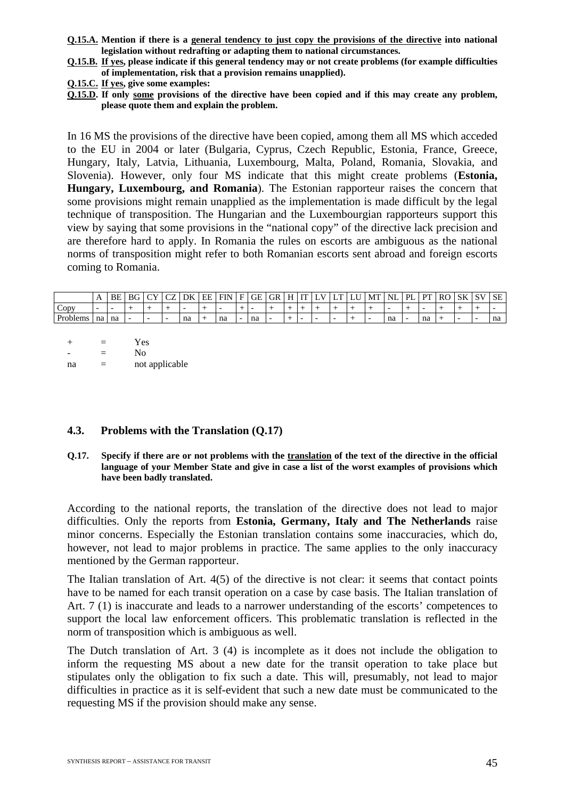- **Q.15.A. Mention if there is a general tendency to just copy the provisions of the directive into national legislation without redrafting or adapting them to national circumstances.**
- **Q.15.B. If yes, please indicate if this general tendency may or not create problems (for example difficulties of implementation, risk that a provision remains unapplied).**
- **Q.15.C. If yes, give some examples:**
- **Q.15.D. If only some provisions of the directive have been copied and if this may create any problem, please quote them and explain the problem.**

In 16 MS the provisions of the directive have been copied, among them all MS which acceded to the EU in 2004 or later (Bulgaria, Cyprus, Czech Republic, Estonia, France, Greece, Hungary, Italy, Latvia, Lithuania, Luxembourg, Malta, Poland, Romania, Slovakia, and Slovenia). However, only four MS indicate that this might create problems (**Estonia, Hungary, Luxembourg, and Romania**). The Estonian rapporteur raises the concern that some provisions might remain unapplied as the implementation is made difficult by the legal technique of transposition. The Hungarian and the Luxembourgian rapporteurs support this view by saying that some provisions in the "national copy" of the directive lack precision and are therefore hard to apply. In Romania the rules on escorts are ambiguous as the national norms of transposition might refer to both Romanian escorts sent abroad and foreign escorts coming to Romania.

|                                       | . .                      | BE   | BC | $\sim$    | $\sim$ | DK | EE | <b>FIN</b> | Е | GE<br>ີ | GR  | н | <b>TTT</b> | ∸ | L. | MT | NL | ÞІ | DТ | <sub>RO</sub> | <b>SK</b> | C1 | <b>SE</b> |
|---------------------------------------|--------------------------|------|----|-----------|--------|----|----|------------|---|---------|-----|---|------------|---|----|----|----|----|----|---------------|-----------|----|-----------|
| Copy                                  | $\overline{\phantom{0}}$ |      |    |           |        |    |    |            |   |         |     |   |            |   |    |    |    |    |    |               |           |    |           |
| $\mathbf{r}$ $\mathbf{r}$<br>Problems | na                       | l na |    | <b>11</b> | --     | na |    | na         |   | na      | $-$ |   |            |   |    |    | na | -  | na |               |           |    | na        |

| $+$ | $\equiv$ | Yes            |
|-----|----------|----------------|
|     | $=$      | No             |
| na  | -        | not applicable |

#### **4.3. Problems with the Translation (Q.17)**

**Q.17. Specify if there are or not problems with the translation of the text of the directive in the official language of your Member State and give in case a list of the worst examples of provisions which have been badly translated.** 

According to the national reports, the translation of the directive does not lead to major difficulties. Only the reports from **Estonia, Germany, Italy and The Netherlands** raise minor concerns. Especially the Estonian translation contains some inaccuracies, which do, however, not lead to major problems in practice. The same applies to the only inaccuracy mentioned by the German rapporteur.

The Italian translation of Art. 4(5) of the directive is not clear: it seems that contact points have to be named for each transit operation on a case by case basis. The Italian translation of Art. 7 (1) is inaccurate and leads to a narrower understanding of the escorts' competences to support the local law enforcement officers. This problematic translation is reflected in the norm of transposition which is ambiguous as well.

The Dutch translation of Art. 3 (4) is incomplete as it does not include the obligation to inform the requesting MS about a new date for the transit operation to take place but stipulates only the obligation to fix such a date. This will, presumably, not lead to major difficulties in practice as it is self-evident that such a new date must be communicated to the requesting MS if the provision should make any sense.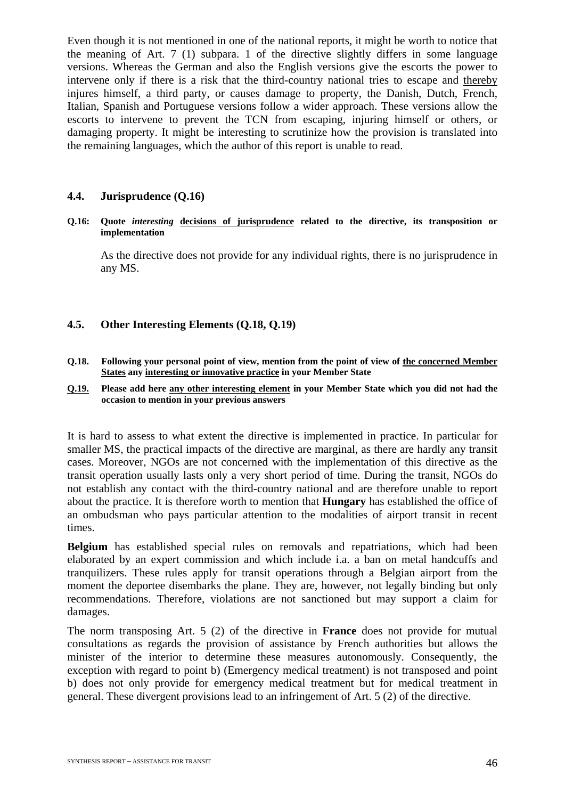Even though it is not mentioned in one of the national reports, it might be worth to notice that the meaning of Art. 7 (1) subpara. 1 of the directive slightly differs in some language versions. Whereas the German and also the English versions give the escorts the power to intervene only if there is a risk that the third-country national tries to escape and thereby injures himself, a third party, or causes damage to property, the Danish, Dutch, French, Italian, Spanish and Portuguese versions follow a wider approach. These versions allow the escorts to intervene to prevent the TCN from escaping, injuring himself or others, or damaging property. It might be interesting to scrutinize how the provision is translated into the remaining languages, which the author of this report is unable to read.

#### **4.4. Jurisprudence (Q.16)**

#### **Q.16: Quote** *interesting* **decisions of jurisprudence related to the directive, its transposition or implementation**

As the directive does not provide for any individual rights, there is no jurisprudence in any MS.

#### **4.5. Other Interesting Elements (Q.18, Q.19)**

**Q.18. Following your personal point of view, mention from the point of view of the concerned Member States any interesting or innovative practice in your Member State** 

#### **Q.19. Please add here any other interesting element in your Member State which you did not had the occasion to mention in your previous answers**

It is hard to assess to what extent the directive is implemented in practice. In particular for smaller MS, the practical impacts of the directive are marginal, as there are hardly any transit cases. Moreover, NGOs are not concerned with the implementation of this directive as the transit operation usually lasts only a very short period of time. During the transit, NGOs do not establish any contact with the third-country national and are therefore unable to report about the practice. It is therefore worth to mention that **Hungary** has established the office of an ombudsman who pays particular attention to the modalities of airport transit in recent times.

**Belgium** has established special rules on removals and repatriations, which had been elaborated by an expert commission and which include i.a. a ban on metal handcuffs and tranquilizers. These rules apply for transit operations through a Belgian airport from the moment the deportee disembarks the plane. They are, however, not legally binding but only recommendations. Therefore, violations are not sanctioned but may support a claim for damages.

The norm transposing Art. 5 (2) of the directive in **France** does not provide for mutual consultations as regards the provision of assistance by French authorities but allows the minister of the interior to determine these measures autonomously. Consequently, the exception with regard to point b) (Emergency medical treatment) is not transposed and point b) does not only provide for emergency medical treatment but for medical treatment in general. These divergent provisions lead to an infringement of Art. 5 (2) of the directive.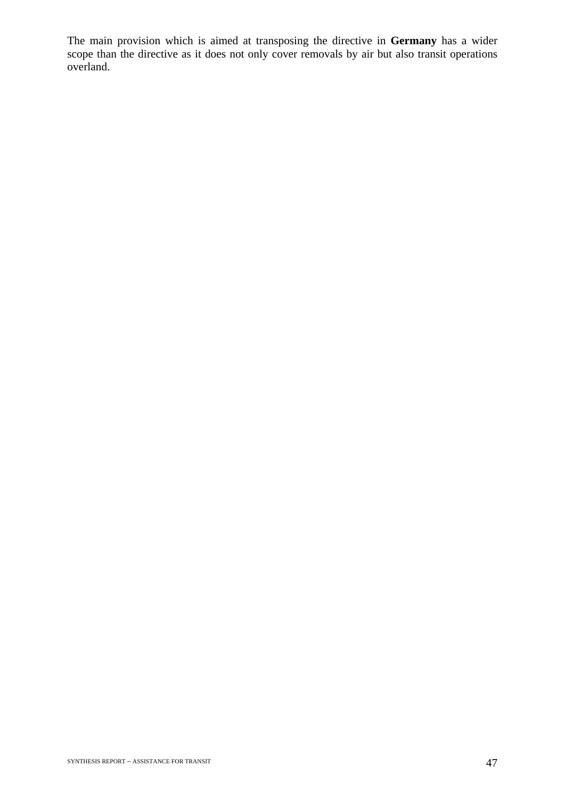The main provision which is aimed at transposing the directive in **Germany** has a wider scope than the directive as it does not only cover removals by air but also transit operations overland.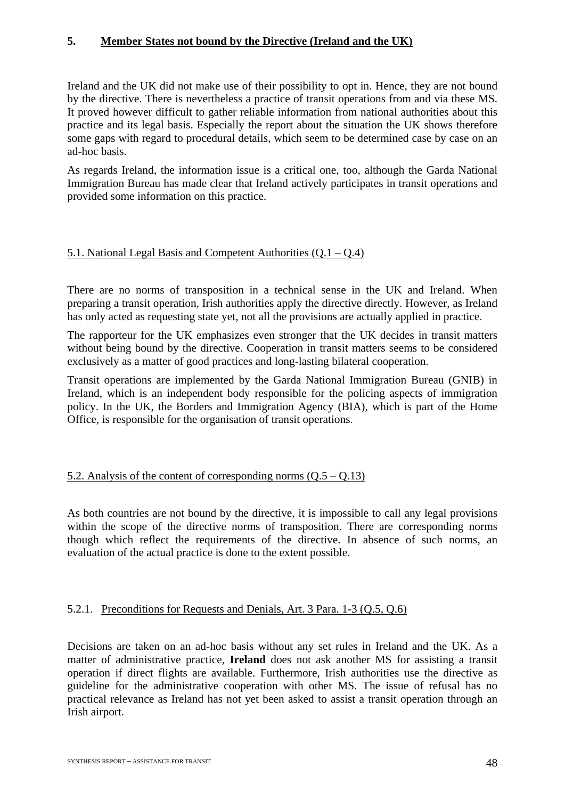## **5. Member States not bound by the Directive (Ireland and the UK)**

Ireland and the UK did not make use of their possibility to opt in. Hence, they are not bound by the directive. There is nevertheless a practice of transit operations from and via these MS. It proved however difficult to gather reliable information from national authorities about this practice and its legal basis. Especially the report about the situation the UK shows therefore some gaps with regard to procedural details, which seem to be determined case by case on an ad-hoc basis.

As regards Ireland, the information issue is a critical one, too, although the Garda National Immigration Bureau has made clear that Ireland actively participates in transit operations and provided some information on this practice.

#### 5.1. National Legal Basis and Competent Authorities (Q.1 – Q.4)

There are no norms of transposition in a technical sense in the UK and Ireland. When preparing a transit operation, Irish authorities apply the directive directly. However, as Ireland has only acted as requesting state yet, not all the provisions are actually applied in practice.

The rapporteur for the UK emphasizes even stronger that the UK decides in transit matters without being bound by the directive. Cooperation in transit matters seems to be considered exclusively as a matter of good practices and long-lasting bilateral cooperation.

Transit operations are implemented by the Garda National Immigration Bureau (GNIB) in Ireland, which is an independent body responsible for the policing aspects of immigration policy. In the UK, the Borders and Immigration Agency (BIA), which is part of the Home Office, is responsible for the organisation of transit operations.

## 5.2. Analysis of the content of corresponding norms  $(0.5 - 0.13)$

As both countries are not bound by the directive, it is impossible to call any legal provisions within the scope of the directive norms of transposition. There are corresponding norms though which reflect the requirements of the directive. In absence of such norms, an evaluation of the actual practice is done to the extent possible.

## 5.2.1. Preconditions for Requests and Denials, Art. 3 Para. 1-3 (Q.5, Q.6)

Decisions are taken on an ad-hoc basis without any set rules in Ireland and the UK. As a matter of administrative practice, **Ireland** does not ask another MS for assisting a transit operation if direct flights are available. Furthermore, Irish authorities use the directive as guideline for the administrative cooperation with other MS. The issue of refusal has no practical relevance as Ireland has not yet been asked to assist a transit operation through an Irish airport.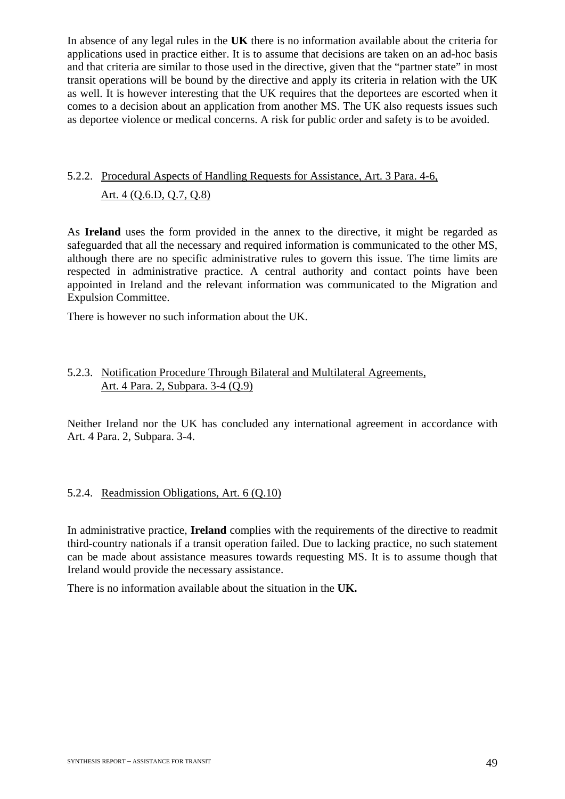In absence of any legal rules in the **UK** there is no information available about the criteria for applications used in practice either. It is to assume that decisions are taken on an ad-hoc basis and that criteria are similar to those used in the directive, given that the "partner state" in most transit operations will be bound by the directive and apply its criteria in relation with the UK as well. It is however interesting that the UK requires that the deportees are escorted when it comes to a decision about an application from another MS. The UK also requests issues such as deportee violence or medical concerns. A risk for public order and safety is to be avoided.

## 5.2.2. Procedural Aspects of Handling Requests for Assistance, Art. 3 Para. 4-6, Art. 4 (Q.6.D, Q.7, Q.8)

As **Ireland** uses the form provided in the annex to the directive, it might be regarded as safeguarded that all the necessary and required information is communicated to the other MS, although there are no specific administrative rules to govern this issue. The time limits are respected in administrative practice. A central authority and contact points have been appointed in Ireland and the relevant information was communicated to the Migration and Expulsion Committee.

There is however no such information about the UK.

## 5.2.3. Notification Procedure Through Bilateral and Multilateral Agreements, Art. 4 Para. 2, Subpara. 3-4 (Q.9)

Neither Ireland nor the UK has concluded any international agreement in accordance with Art. 4 Para. 2, Subpara. 3-4.

## 5.2.4. Readmission Obligations, Art. 6 (Q.10)

In administrative practice, **Ireland** complies with the requirements of the directive to readmit third-country nationals if a transit operation failed. Due to lacking practice, no such statement can be made about assistance measures towards requesting MS. It is to assume though that Ireland would provide the necessary assistance.

There is no information available about the situation in the **UK.**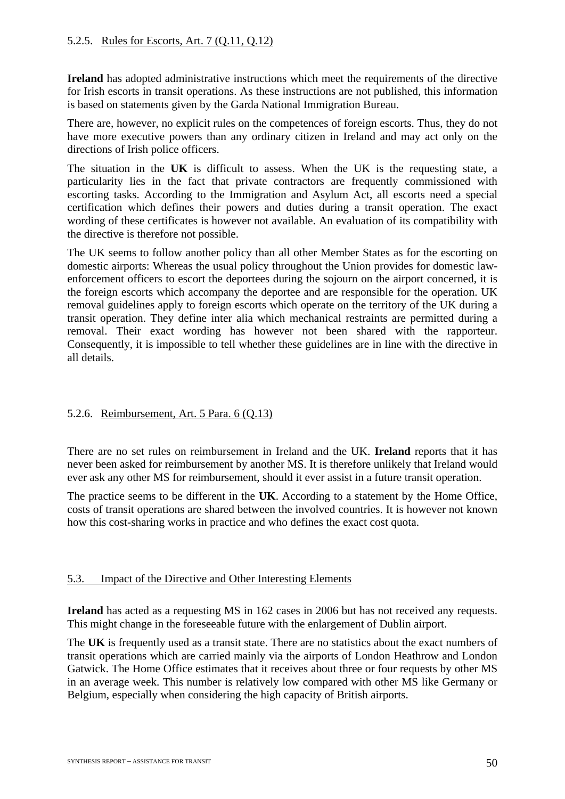**Ireland** has adopted administrative instructions which meet the requirements of the directive for Irish escorts in transit operations. As these instructions are not published, this information is based on statements given by the Garda National Immigration Bureau.

There are, however, no explicit rules on the competences of foreign escorts. Thus, they do not have more executive powers than any ordinary citizen in Ireland and may act only on the directions of Irish police officers.

The situation in the **UK** is difficult to assess. When the UK is the requesting state, a particularity lies in the fact that private contractors are frequently commissioned with escorting tasks. According to the Immigration and Asylum Act, all escorts need a special certification which defines their powers and duties during a transit operation. The exact wording of these certificates is however not available. An evaluation of its compatibility with the directive is therefore not possible.

The UK seems to follow another policy than all other Member States as for the escorting on domestic airports: Whereas the usual policy throughout the Union provides for domestic lawenforcement officers to escort the deportees during the sojourn on the airport concerned, it is the foreign escorts which accompany the deportee and are responsible for the operation. UK removal guidelines apply to foreign escorts which operate on the territory of the UK during a transit operation. They define inter alia which mechanical restraints are permitted during a removal. Their exact wording has however not been shared with the rapporteur. Consequently, it is impossible to tell whether these guidelines are in line with the directive in all details.

## 5.2.6. Reimbursement, Art. 5 Para. 6 (Q.13)

There are no set rules on reimbursement in Ireland and the UK. **Ireland** reports that it has never been asked for reimbursement by another MS. It is therefore unlikely that Ireland would ever ask any other MS for reimbursement, should it ever assist in a future transit operation.

The practice seems to be different in the **UK**. According to a statement by the Home Office, costs of transit operations are shared between the involved countries. It is however not known how this cost-sharing works in practice and who defines the exact cost quota.

## 5.3. Impact of the Directive and Other Interesting Elements

**Ireland** has acted as a requesting MS in 162 cases in 2006 but has not received any requests. This might change in the foreseeable future with the enlargement of Dublin airport.

The **UK** is frequently used as a transit state. There are no statistics about the exact numbers of transit operations which are carried mainly via the airports of London Heathrow and London Gatwick. The Home Office estimates that it receives about three or four requests by other MS in an average week. This number is relatively low compared with other MS like Germany or Belgium, especially when considering the high capacity of British airports.